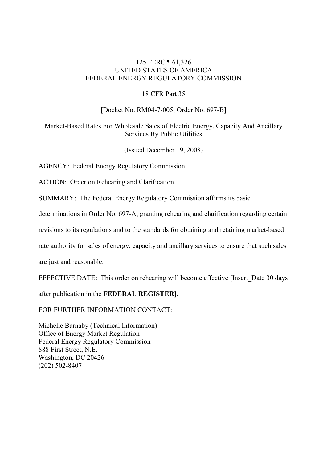## 125 FERC ¶ 61,326 UNITED STATES OF AMERICA FEDERAL ENERGY REGULATORY COMMISSION

## 18 CFR Part 35

## [Docket No. RM04-7-005; Order No. 697-B]

## Market-Based Rates For Wholesale Sales of Electric Energy, Capacity And Ancillary Services By Public Utilities

(Issued December 19, 2008)

AGENCY: Federal Energy Regulatory Commission.

ACTION: Order on Rehearing and Clarification.

SUMMARY: The Federal Energy Regulatory Commission affirms its basic

determinations in Order No. 697-A, granting rehearing and clarification regarding certain

revisions to its regulations and to the standards for obtaining and retaining market-based

rate authority for sales of energy, capacity and ancillary services to ensure that such sales

are just and reasonable.

EFFECTIVE DATE: This order on rehearing will become effective **[**Insert\_Date 30 days

after publication in the **FEDERAL REGISTER]**.

## FOR FURTHER INFORMATION CONTACT:

Michelle Barnaby (Technical Information) Office of Energy Market Regulation Federal Energy Regulatory Commission 888 First Street, N.E. Washington, DC 20426 (202) 502-8407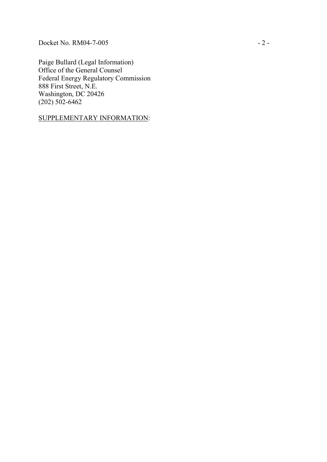Docket No. RM04-7-005 - 2 -

Paige Bullard (Legal Information) Office of the General Counsel Federal Energy Regulatory Commission 888 First Street, N.E. Washington, DC 20426  $(202) 502 - 6462$ 

SUPPLEMENTARY INFORMATION :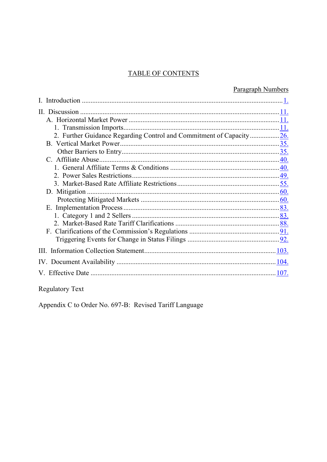## **TABLE OF CONTENTS**

|                                                                      | Paragraph Numbers |
|----------------------------------------------------------------------|-------------------|
|                                                                      |                   |
|                                                                      |                   |
|                                                                      |                   |
|                                                                      |                   |
| 2. Further Guidance Regarding Control and Commitment of Capacity 26. |                   |
|                                                                      |                   |
|                                                                      |                   |
|                                                                      |                   |
|                                                                      |                   |
|                                                                      |                   |
|                                                                      |                   |
|                                                                      |                   |
|                                                                      |                   |
|                                                                      |                   |
|                                                                      |                   |
|                                                                      |                   |
|                                                                      |                   |
|                                                                      |                   |
|                                                                      |                   |
|                                                                      |                   |
|                                                                      | 107.              |
|                                                                      |                   |

Regulatory Text

Appendix C to Order No. 697-B: Revised Tariff Language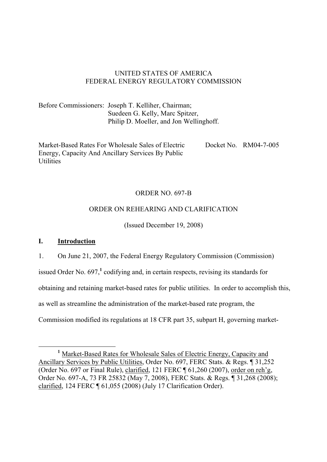## UNITED STATES OF AMERICA FEDERAL ENERGY REGULATORY COMMISSION

Before Commissioners: Joseph T. Kelliher, Chairman; Suedeen G. Kelly, Marc Spitzer, Philip D. Moeller, and Jon Wellinghoff.

Market-Based Rates For Wholesale Sales of Electric Energy, Capacity And Ancillary Services By Public **Utilities** Docket No. RM04-7-005

## ORDER NO. 697-B

## ORDER ON REHEARING AND CLARIFICATION

(Issued December 19, 2008)

## **I. Introduction**

-

1. On June 21, 2007, the Federal Energy Regulatory Commission (Commission)

issued Order No. 697,<sup>1</sup> codifying and, in certain respects, revising its standards for

obtaining and retaining market-based rates for public utilities. In order to accomplish this,

as well as streamline the administration of the market-based rate program, the

Commission modified its regulations at 18 CFR part 35, subpart H, governing market-

<sup>&</sup>lt;sup>1</sup> Market-Based Rates for Wholesale Sales of Electric Energy, Capacity and Ancillary Services by Public Utilities, Order No. 697, FERC Stats. & Regs. ¶ 31,252 (Order No. 697 or Final Rule), clarified, 121 FERC ¶ 61,260 (2007), order on reh'g, Order No. 697-A, 73 FR 25832 (May 7, 2008), FERC Stats. & Regs. ¶ 31,268 (2008); clarified, 124 FERC ¶ 61,055 (2008) (July 17 Clarification Order).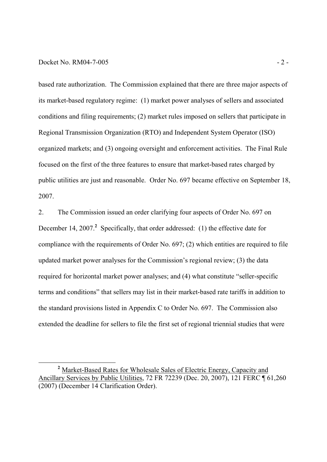#### Docket No. RM04-7-005 - 2 -

-

based rate authorization. The Commission explained that there are three major aspects of its market-based regulatory regime: (1) market power analyses of sellers and associated conditions and filing requirements; (2) market rules imposed on sellers that participate in Regional Transmission Organization (RTO) and Independent System Operator (ISO) organized markets; and (3) ongoing oversight and enforcement activities. The Final Rule focused on the first of the three features to ensure that market-based rates charged by public utilities are just and reasonable. Order No. 697 became effective on September 18, 2007.

2. The Commission issued an order clarifying four aspects of Order No. 697 on December 14, 2007.<sup>2</sup> Specifically, that order addressed: (1) the effective date for compliance with the requirements of Order No. 697; (2) which entities are required to file updated market power analyses for the Commission's regional review; (3) the data required for horizontal market power analyses; and (4) what constitute "seller-specific terms and conditions" that sellers may list in their market-based rate tariffs in addition to the standard provisions listed in Appendix C to Order No. 697. The Commission also extended the deadline for sellers to file the first set of regional triennial studies that were

<sup>&</sup>lt;sup>2</sup> Market-Based Rates for Wholesale Sales of Electric Energy, Capacity and Ancillary Services by Public Utilities, 72 FR 72239 (Dec. 20, 2007), 121 FERC ¶ 61,260 (2007) (December 14 Clarification Order).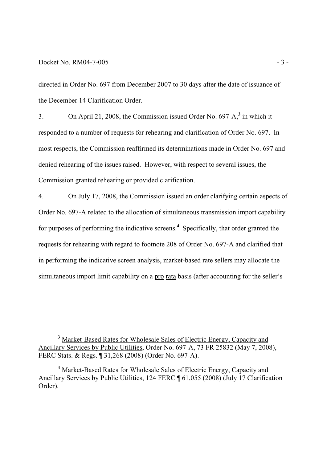-

directed in Order No. 697 from December 2007 to 30 days after the date of issuance of the December 14 Clarification Order.

3. On April 21, 2008, the Commission issued Order No. 697-A,**<sup>3</sup>** in which it responded to a number of requests for rehearing and clarification of Order No. 697. In most respects, the Commission reaffirmed its determinations made in Order No. 697 and denied rehearing of the issues raised. However, with respect to several issues, the Commission granted rehearing or provided clarification.

4. On July 17, 2008, the Commission issued an order clarifying certain aspects of Order No. 697-A related to the allocation of simultaneous transmission import capability for purposes of performing the indicative screens.<sup>4</sup> Specifically, that order granted the requests for rehearing with regard to footnote 208 of Order No. 697-A and clarified that in performing the indicative screen analysis, market-based rate sellers may allocate the simultaneous import limit capability on a pro rata basis (after accounting for the seller's

<sup>&</sup>lt;sup>3</sup> Market-Based Rates for Wholesale Sales of Electric Energy, Capacity and Ancillary Services by Public Utilities, Order No. 697-A, 73 FR 25832 (May 7, 2008), FERC Stats. & Regs. ¶ 31,268 (2008) (Order No. 697-A).

<sup>&</sup>lt;sup>4</sup> Market-Based Rates for Wholesale Sales of Electric Energy, Capacity and Ancillary Services by Public Utilities, 124 FERC ¶ 61,055 (2008) (July 17 Clarification Order).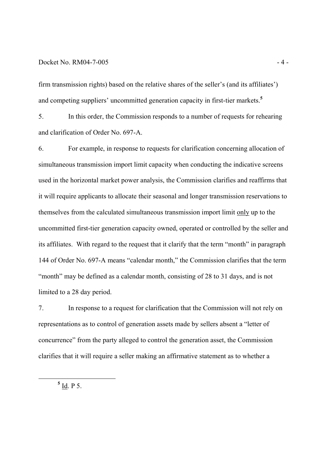#### $Docket No. RM04-7-005$   $-4-$

firm transmission rights) based on the relative shares of the seller's (and its affiliates') and competing suppliers' uncommitted generation capacity in first-tier markets.**<sup>5</sup>**

5. In this order, the Commission responds to a number of requests for rehearing and clarification of Order No. 697-A.

6. For example, in response to requests for clarification concerning allocation of simultaneous transmission import limit capacity when conducting the indicative screens used in the horizontal market power analysis, the Commission clarifies and reaffirms that it will require applicants to allocate their seasonal and longer transmission reservations to themselves from the calculated simultaneous transmission import limit only up to the uncommitted first-tier generation capacity owned, operated or controlled by the seller and its affiliates. With regard to the request that it clarify that the term "month" in paragraph 144 of Order No. 697-A means "calendar month," the Commission clarifies that the term "month" may be defined as a calendar month, consisting of 28 to 31 days, and is not limited to a 28 day period.

7. In response to a request for clarification that the Commission will not rely on representations as to control of generation assets made by sellers absent a "letter of concurrence" from the party alleged to control the generation asset, the Commission clarifies that it will require a seller making an affirmative statement as to whether a

**5** Id. P 5.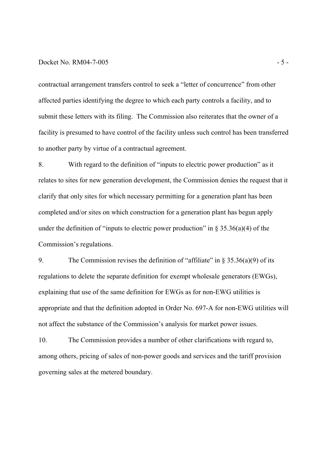#### $Docket No. RM04-7-005$   $-5-$

contractual arrangement transfers control to seek a "letter of concurrence" from other affected parties identifying the degree to which each party controls a facility, and to submit these letters with its filing. The Commission also reiterates that the owner of a facility is presumed to have control of the facility unless such control has been transferred to another party by virtue of a contractual agreement.

8. With regard to the definition of "inputs to electric power production" as it relates to sites for new generation development, the Commission denies the request that it clarify that only sites for which necessary permitting for a generation plant has been completed and/or sites on which construction for a generation plant has begun apply under the definition of "inputs to electric power production" in  $\S 35.36(a)(4)$  of the Commission's regulations.

9. The Commission revises the definition of "affiliate" in  $\S 35.36(a)(9)$  of its regulations to delete the separate definition for exempt wholesale generators (EWGs), explaining that use of the same definition for EWGs as for non-EWG utilities is appropriate and that the definition adopted in Order No. 697-A for non-EWG utilities will not affect the substance of the Commission's analysis for market power issues.

10. The Commission provides a number of other clarifications with regard to, among others, pricing of sales of non-power goods and services and the tariff provision governing sales at the metered boundary.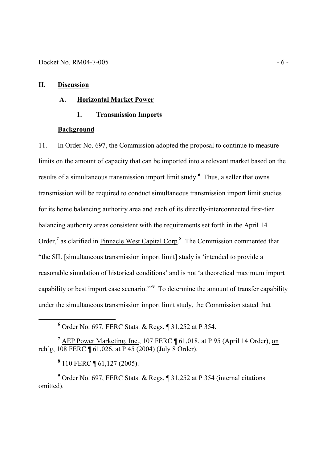#### **II. Discussion**

### **A. Horizontal Market Power**

#### **1. Transmission Imports**

#### **Background**

11. In Order No. 697, the Commission adopted the proposal to continue to measure limits on the amount of capacity that can be imported into a relevant market based on the results of a simultaneous transmission import limit study.**<sup>6</sup>** Thus, a seller that owns transmission will be required to conduct simultaneous transmission import limit studies for its home balancing authority area and each of its directly-interconnected first-tier balancing authority areas consistent with the requirements set forth in the April 14 Order,<sup>7</sup> as clarified in **Pinnacle West Capital Corp.**<sup>8</sup> The Commission commented that "the SIL [simultaneous transmission import limit] study is 'intended to provide a reasonable simulation of historical conditions' and is not 'a theoretical maximum import capability or best import case scenario.'"**<sup>9</sup>** To determine the amount of transfer capability under the simultaneous transmission import limit study, the Commission stated that

**8** 110 FERC ¶ 61,127 (2005).

-

<sup>9</sup> Order No. 697, FERC Stats. & Regs. ¶ 31,252 at P 354 (internal citations omitted).

**<sup>6</sup>** Order No. 697, FERC Stats. & Regs. ¶ 31,252 at P 354.

<sup>&</sup>lt;sup>7</sup> AEP Power Marketing, Inc., 107 FERC ¶ 61,018, at P 95 (April 14 Order), on reh'g,  $108$  FERC  $\P(61, 026, \text{ at } P45 (2004)$  (July  $8^{\degree}$ Order).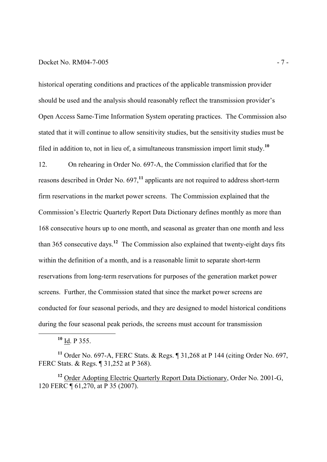#### Docket No. RM04-7-005 - 7 -

historical operating conditions and practices of the applicable transmission provider should be used and the analysis should reasonably reflect the transmission provider's Open Access Same-Time Information System operating practices. The Commission also stated that it will continue to allow sensitivity studies, but the sensitivity studies must be filed in addition to, not in lieu of, a simultaneous transmission import limit study.**<sup>10</sup>**

12. On rehearing in Order No. 697-A, the Commission clarified that for the reasons described in Order No. 697,**<sup>11</sup>** applicants are not required to address short-term firm reservations in the market power screens. The Commission explained that the Commission's Electric Quarterly Report Data Dictionary defines monthly as more than 168 consecutive hours up to one month, and seasonal as greater than one month and less than 365 consecutive days.**<sup>12</sup>** The Commission also explained that twenty-eight days fits within the definition of a month, and is a reasonable limit to separate short-term reservations from long-term reservations for purposes of the generation market power screens. Further, the Commission stated that since the market power screens are conducted for four seasonal periods, and they are designed to model historical conditions during the four seasonal peak periods, the screens must account for transmission

**<sup>10</sup>** Id. P 355.

-

**<sup>11</sup>** Order No. 697-A, FERC Stats. & Regs. ¶ 31,268 at P 144 (citing Order No. 697, FERC Stats. & Regs. ¶ 31,252 at P 368).

**<sup>12</sup>** Order Adopting Electric Quarterly Report Data Dictionary, Order No. 2001-G, 120 FERC ¶ 61,270, at P 35 (2007).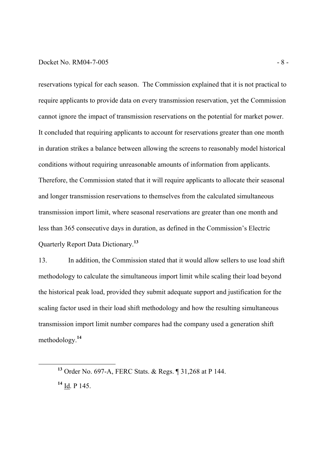#### Docket No. RM04-7-005 - 8 -

reservations typical for each season. The Commission explained that it is not practical to require applicants to provide data on every transmission reservation, yet the Commission cannot ignore the impact of transmission reservations on the potential for market power. It concluded that requiring applicants to account for reservations greater than one month in duration strikes a balance between allowing the screens to reasonably model historical conditions without requiring unreasonable amounts of information from applicants. Therefore, the Commission stated that it will require applicants to allocate their seasonal and longer transmission reservations to themselves from the calculated simultaneous transmission import limit, where seasonal reservations are greater than one month and less than 365 consecutive days in duration, as defined in the Commission's Electric Quarterly Report Data Dictionary.**<sup>13</sup>**

13. In addition, the Commission stated that it would allow sellers to use load shift methodology to calculate the simultaneous import limit while scaling their load beyond the historical peak load, provided they submit adequate support and justification for the scaling factor used in their load shift methodology and how the resulting simultaneous transmission import limit number compares had the company used a generation shift methodology.**<sup>14</sup>**

**<sup>13</sup>** Order No. 697-A, FERC Stats. & Regs. ¶ 31,268 at P 144.

**<sup>14</sup>** Id. P 145.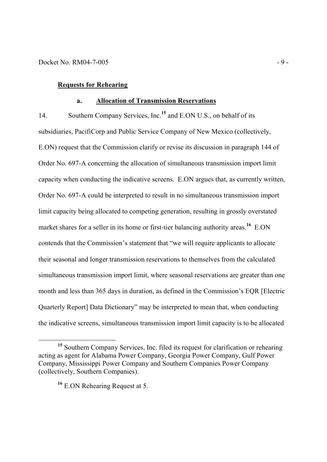### **Requests for Rehearing**

#### **a. Allocation of Transmission Reservations**

14. Southern Company Services, Inc.**<sup>15</sup>** and E.ON U.S., on behalf of its subsidiaries, PacifiCorp and Public Service Company of New Mexico (collectively, E.ON) request that the Commission clarify or revise its discussion in paragraph 144 of Order No. 697-A concerning the allocation of simultaneous transmission import limit capacity when conducting the indicative screens. E.ON argues that, as currently written, Order No. 697-A could be interpreted to result in no simultaneous transmission import limit capacity being allocated to competing generation, resulting in grossly overstated market shares for a seller in its home or first-tier balancing authority areas.<sup>16</sup> E.ON contends that the Commission's statement that "we will require applicants to allocate their seasonal and longer transmission reservations to themselves from the calculated simultaneous transmission import limit, where seasonal reservations are greater than one month and less than 365 days in duration, as defined in the Commission's EQR [Electric Quarterly Report] Data Dictionary" may be interpreted to mean that, when conducting the indicative screens, simultaneous transmission import limit capacity is to be allocated

**<sup>15</sup>** Southern Company Services, Inc. filed its request for clarification or rehearing acting as agent for Alabama Power Company, Georgia Power Company, Gulf Power Company, Mississippi Power Company and Southern Companies Power Company (collectively, Southern Companies).

**<sup>16</sup>** E.ON Rehearing Request at 5.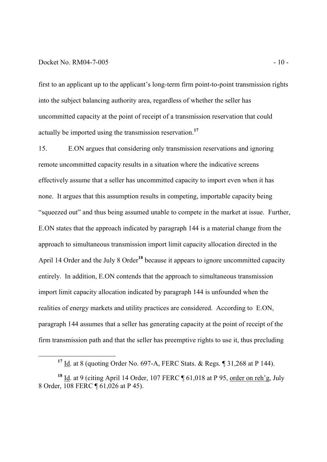#### Docket No. RM04-7-005 - 10 -

-

first to an applicant up to the applicant's long-term firm point-to-point transmission rights into the subject balancing authority area, regardless of whether the seller has uncommitted capacity at the point of receipt of a transmission reservation that could actually be imported using the transmission reservation.**<sup>17</sup>**

15. E.ON argues that considering only transmission reservations and ignoring remote uncommitted capacity results in a situation where the indicative screens effectively assume that a seller has uncommitted capacity to import even when it has none. It argues that this assumption results in competing, importable capacity being "squeezed out" and thus being assumed unable to compete in the market at issue. Further, E.ON states that the approach indicated by paragraph 144 is a material change from the approach to simultaneous transmission import limit capacity allocation directed in the April 14 Order and the July 8 Order**<sup>18</sup>** because it appears to ignore uncommitted capacity entirely. In addition, E.ON contends that the approach to simultaneous transmission import limit capacity allocation indicated by paragraph 144 is unfounded when the realities of energy markets and utility practices are considered. According to E.ON, paragraph 144 assumes that a seller has generating capacity at the point of receipt of the firm transmission path and that the seller has preemptive rights to use it, thus precluding

**<sup>17</sup>** Id. at 8 (quoting Order No. 697-A, FERC Stats. & Regs. ¶ 31,268 at P 144).

**<sup>18</sup>** Id. at 9 (citing April 14 Order, 107 FERC ¶ 61,018 at P 95, order on reh'g, July 8 Order, 108 FERC ¶ 61,026 at P 45).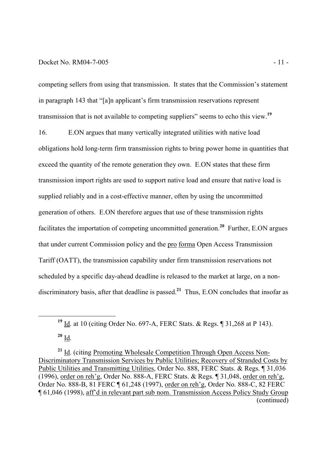#### Docket No. RM04-7-005 - 11 -

competing sellers from using that transmission. It states that the Commission's statement in paragraph 143 that "[a]n applicant's firm transmission reservations represent transmission that is not available to competing suppliers" seems to echo this view.**<sup>19</sup>**

16. E.ON argues that many vertically integrated utilities with native load obligations hold long-term firm transmission rights to bring power home in quantities that exceed the quantity of the remote generation they own. E.ON states that these firm transmission import rights are used to support native load and ensure that native load is supplied reliably and in a cost-effective manner, often by using the uncommitted generation of others. E.ON therefore argues that use of these transmission rights facilitates the importation of competing uncommitted generation.**<sup>20</sup>** Further, E.ON argues that under current Commission policy and the pro forma Open Access Transmission Tariff (OATT), the transmission capability under firm transmission reservations not scheduled by a specific day-ahead deadline is released to the market at large, on a nondiscriminatory basis, after that deadline is passed. **<sup>21</sup>** Thus, E.ON concludes that insofar as

**<sup>20</sup>** Id.

**<sup>19</sup>** Id. at 10 (citing Order No. 697-A, FERC Stats. & Regs. ¶ 31,268 at P 143).

**<sup>21</sup>** Id. (citing Promoting Wholesale Competition Through Open Access Non-Discriminatory Transmission Services by Public Utilities; Recovery of Stranded Costs by Public Utilities and Transmitting Utilities, Order No. 888, FERC Stats. & Regs. ¶ 31,036 (1996), order on reh'g, Order No. 888-A, FERC Stats. & Regs. ¶ 31,048, order on reh'g, Order No. 888-B, 81 FERC ¶ 61,248 (1997), order on reh'g, Order No. 888-C, 82 FERC ¶ 61,046 (1998), aff'd in relevant part sub nom. Transmission Access Policy Study Group (continued)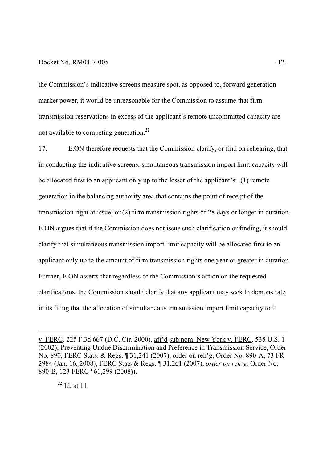#### Docket No. RM04-7-005 - 12 -

the Commission's indicative screens measure spot, as opposed to, forward generation market power, it would be unreasonable for the Commission to assume that firm transmission reservations in excess of the applicant's remote uncommitted capacity are not available to competing generation.**<sup>22</sup>**

17. E.ON therefore requests that the Commission clarify, or find on rehearing, that in conducting the indicative screens, simultaneous transmission import limit capacity will be allocated first to an applicant only up to the lesser of the applicant's: (1) remote generation in the balancing authority area that contains the point of receipt of the transmission right at issue; or (2) firm transmission rights of 28 days or longer in duration. E.ON argues that if the Commission does not issue such clarification or finding, it should clarify that simultaneous transmission import limit capacity will be allocated first to an applicant only up to the amount of firm transmission rights one year or greater in duration. Further, E.ON asserts that regardless of the Commission's action on the requested clarifications, the Commission should clarify that any applicant may seek to demonstrate in its filing that the allocation of simultaneous transmission import limit capacity to it

**<sup>22</sup>** Id. at 11.

v. FERC, 225 F.3d 667 (D.C. Cir. 2000), aff'd sub nom. New York v. FERC, 535 U.S. 1 (2002); Preventing Undue Discrimination and Preference in Transmission Service, Order No. 890, FERC Stats. & Regs. ¶ 31,241 (2007), order on reh'g, Order No. 890-A, 73 FR 2984 (Jan. 16, 2008), FERC Stats & Regs. ¶ 31,261 (2007), *order on reh'g,* Order No. 890-B, 123 FERC ¶61,299 (2008)).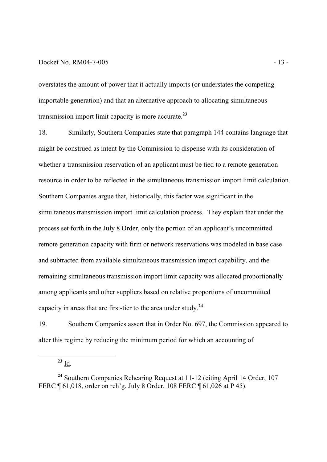#### Docket No. RM04-7-005 - 13 -

overstates the amount of power that it actually imports (or understates the competing importable generation) and that an alternative approach to allocating simultaneous transmission import limit capacity is more accurate. **23**

18. Similarly, Southern Companies state that paragraph 144 contains language that might be construed as intent by the Commission to dispense with its consideration of whether a transmission reservation of an applicant must be tied to a remote generation resource in order to be reflected in the simultaneous transmission import limit calculation. Southern Companies argue that, historically, this factor was significant in the simultaneous transmission import limit calculation process. They explain that under the process set forth in the July 8 Order, only the portion of an applicant's uncommitted remote generation capacity with firm or network reservations was modeled in base case and subtracted from available simultaneous transmission import capability, and the remaining simultaneous transmission import limit capacity was allocated proportionally among applicants and other suppliers based on relative proportions of uncommitted capacity in areas that are first-tier to the area under study.**<sup>24</sup>**

19. Southern Companies assert that in Order No. 697, the Commission appeared to alter this regime by reducing the minimum period for which an accounting of

**<sup>23</sup>** Id.

**<sup>24</sup>** Southern Companies Rehearing Request at 11-12 (citing April 14 Order, 107 FERC ¶ 61,018, order on reh'g, July 8 Order, 108 FERC ¶ 61,026 at P 45).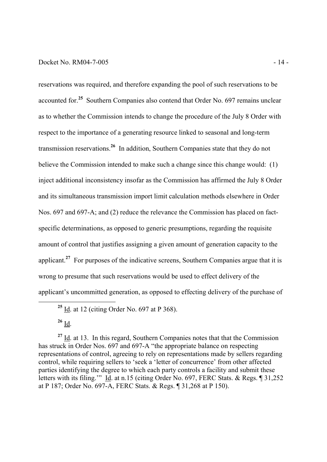#### Docket No. RM04-7-005 - 14 -

reservations was required, and therefore expanding the pool of such reservations to be accounted for.**<sup>25</sup>** Southern Companies also contend that Order No. 697 remains unclear as to whether the Commission intends to change the procedure of the July 8 Order with respect to the importance of a generating resource linked to seasonal and long-term transmission reservations.**<sup>26</sup>** In addition, Southern Companies state that they do not believe the Commission intended to make such a change since this change would: (1) inject additional inconsistency insofar as the Commission has affirmed the July 8 Order and its simultaneous transmission import limit calculation methods elsewhere in Order Nos. 697 and 697-A; and (2) reduce the relevance the Commission has placed on factspecific determinations, as opposed to generic presumptions, regarding the requisite amount of control that justifies assigning a given amount of generation capacity to the applicant.**<sup>27</sup>** For purposes of the indicative screens, Southern Companies argue that it is wrong to presume that such reservations would be used to effect delivery of the applicant's uncommitted generation, as opposed to effecting delivery of the purchase of

-

<sup>27</sup> Id. at 13. In this regard, Southern Companies notes that that the Commission has struck in Order Nos. 697 and 697-A "the appropriate balance on respecting representations of control, agreeing to rely on representations made by sellers regarding control, while requiring sellers to 'seek a 'letter of concurrence' from other affected parties identifying the degree to which each party controls a facility and submit these letters with its filing.'" Id. at n.15 (citing Order No. 697, FERC Stats. & Regs. ¶ 31,252 at P 187; Order No. 697-A, FERC Stats. & Regs. ¶ 31,268 at P 150).

**<sup>25</sup>** Id. at 12 (citing Order No. 697 at P 368).

**<sup>26</sup>** Id.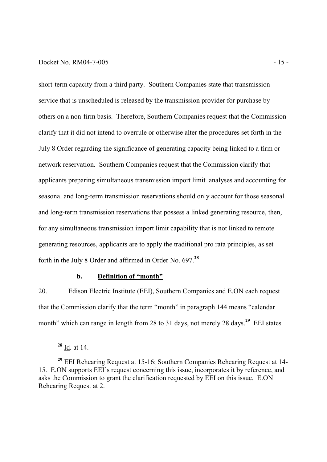#### Docket No. RM04-7-005 - 15 -

short-term capacity from a third party. Southern Companies state that transmission service that is unscheduled is released by the transmission provider for purchase by others on a non-firm basis. Therefore, Southern Companies request that the Commission clarify that it did not intend to overrule or otherwise alter the procedures set forth in the July 8 Order regarding the significance of generating capacity being linked to a firm or network reservation. Southern Companies request that the Commission clarify that applicants preparing simultaneous transmission import limit analyses and accounting for seasonal and long-term transmission reservations should only account for those seasonal and long-term transmission reservations that possess a linked generating resource, then, for any simultaneous transmission import limit capability that is not linked to remote generating resources, applicants are to apply the traditional pro rata principles, as set forth in the July 8 Order and affirmed in Order No. 697.**<sup>28</sup>**

#### **b. Definition of "month"**

20. Edison Electric Institute (EEI), Southern Companies and E.ON each request that the Commission clarify that the term "month" in paragraph 144 means "calendar month" which can range in length from 28 to 31 days, not merely 28 days.<sup>29</sup> EEI states

**<sup>28</sup>** Id. at 14.

**<sup>29</sup>** EEI Rehearing Request at 15-16; Southern Companies Rehearing Request at 14- 15. E.ON supports EEI's request concerning this issue, incorporates it by reference, and asks the Commission to grant the clarification requested by EEI on this issue. E.ON Rehearing Request at 2.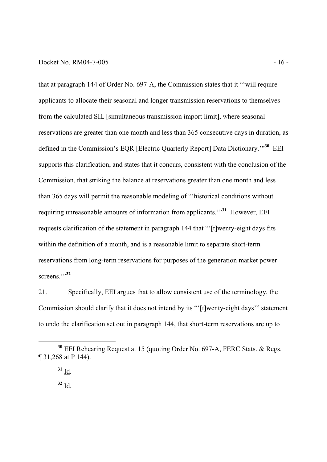#### Docket No. RM04-7-005 - 16 -

that at paragraph 144 of Order No. 697-A, the Commission states that it "'will require applicants to allocate their seasonal and longer transmission reservations to themselves from the calculated SIL [simultaneous transmission import limit], where seasonal reservations are greater than one month and less than 365 consecutive days in duration, as defined in the Commission's EQR [Electric Quarterly Report] Data Dictionary.'"**<sup>30</sup>** EEI supports this clarification, and states that it concurs, consistent with the conclusion of the Commission, that striking the balance at reservations greater than one month and less than 365 days will permit the reasonable modeling of "'historical conditions without requiring unreasonable amounts of information from applicants.'"**<sup>31</sup>** However, EEI requests clarification of the statement in paragraph 144 that "'[t]wenty-eight days fits within the definition of a month, and is a reasonable limit to separate short-term reservations from long-term reservations for purposes of the generation market power screens."<sup>32</sup>

21. Specifically, EEI argues that to allow consistent use of the terminology, the Commission should clarify that it does not intend by its "'[t]wenty-eight days'" statement to undo the clarification set out in paragraph 144, that short-term reservations are up to

**<sup>30</sup>** EEI Rehearing Request at 15 (quoting Order No. 697-A, FERC Stats. & Regs. ¶ 31,268 at P 144).

**<sup>31</sup>** Id.

 $32 \underline{\text{Id}}$ .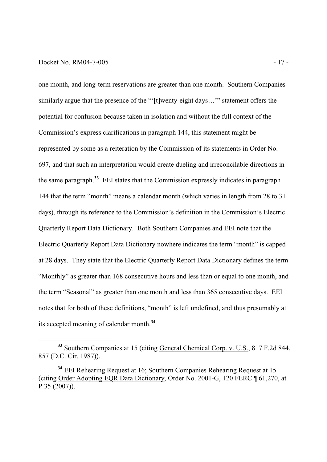#### Docket No. RM04-7-005 - 17 -

-

one month, and long-term reservations are greater than one month. Southern Companies similarly argue that the presence of the "'[t]wenty-eight days…'" statement offers the potential for confusion because taken in isolation and without the full context of the Commission's express clarifications in paragraph 144, this statement might be represented by some as a reiteration by the Commission of its statements in Order No. 697, and that such an interpretation would create dueling and irreconcilable directions in the same paragraph.**<sup>33</sup>** EEI states that the Commission expressly indicates in paragraph 144 that the term "month" means a calendar month (which varies in length from 28 to 31 days), through its reference to the Commission's definition in the Commission's Electric Quarterly Report Data Dictionary. Both Southern Companies and EEI note that the Electric Quarterly Report Data Dictionary nowhere indicates the term "month" is capped at 28 days. They state that the Electric Quarterly Report Data Dictionary defines the term "Monthly" as greater than 168 consecutive hours and less than or equal to one month, and the term "Seasonal" as greater than one month and less than 365 consecutive days. EEI notes that for both of these definitions, "month" is left undefined, and thus presumably at its accepted meaning of calendar month.**<sup>34</sup>**

<sup>&</sup>lt;sup>33</sup> Southern Companies at 15 (citing General Chemical Corp. v. U.S., 817 F.2d 844, 857 (D.C. Cir. 1987)).

**<sup>34</sup>** EEI Rehearing Request at 16; Southern Companies Rehearing Request at 15 (citing Order Adopting EQR Data Dictionary, Order No. 2001-G, 120 FERC ¶ 61,270, at P 35 (2007)).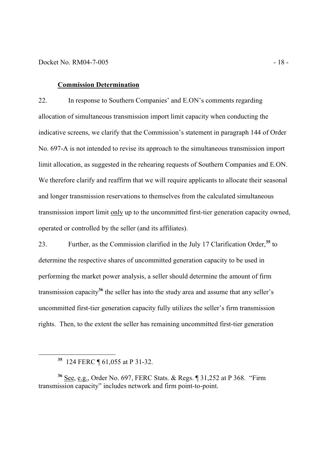#### **Commission Determination**

22. In response to Southern Companies' and E.ON's comments regarding allocation of simultaneous transmission import limit capacity when conducting the indicative screens, we clarify that the Commission's statement in paragraph 144 of Order No. 697-A is not intended to revise its approach to the simultaneous transmission import limit allocation, as suggested in the rehearing requests of Southern Companies and E.ON. We therefore clarify and reaffirm that we will require applicants to allocate their seasonal and longer transmission reservations to themselves from the calculated simultaneous transmission import limit only up to the uncommitted first-tier generation capacity owned, operated or controlled by the seller (and its affiliates).

23. Further, as the Commission clarified in the July 17 Clarification Order,**<sup>35</sup>** to determine the respective shares of uncommitted generation capacity to be used in performing the market power analysis, a seller should determine the amount of firm transmission capacity**<sup>36</sup>** the seller has into the study area and assume that any seller's uncommitted first-tier generation capacity fully utilizes the seller's firm transmission rights. Then, to the extent the seller has remaining uncommitted first-tier generation

**<sup>35</sup>** 124 FERC ¶ 61,055 at P 31-32.

-

**<sup>36</sup>** See, e.g., Order No. 697, FERC Stats. & Regs. ¶ 31,252 at P 368. "Firm transmission capacity" includes network and firm point-to-point.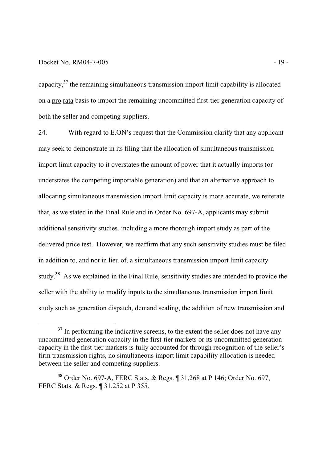#### Docket No. RM04-7-005 - 19 -

-

capacity,**<sup>37</sup>** the remaining simultaneous transmission import limit capability is allocated on a pro rata basis to import the remaining uncommitted first-tier generation capacity of both the seller and competing suppliers.

24. With regard to E.ON's request that the Commission clarify that any applicant may seek to demonstrate in its filing that the allocation of simultaneous transmission import limit capacity to it overstates the amount of power that it actually imports (or understates the competing importable generation) and that an alternative approach to allocating simultaneous transmission import limit capacity is more accurate, we reiterate that, as we stated in the Final Rule and in Order No. 697-A, applicants may submit additional sensitivity studies, including a more thorough import study as part of the delivered price test. However, we reaffirm that any such sensitivity studies must be filed in addition to, and not in lieu of, a simultaneous transmission import limit capacity study.**<sup>38</sup>** As we explained in the Final Rule, sensitivity studies are intended to provide the seller with the ability to modify inputs to the simultaneous transmission import limit study such as generation dispatch, demand scaling, the addition of new transmission and

<sup>&</sup>lt;sup>37</sup> In performing the indicative screens, to the extent the seller does not have any uncommitted generation capacity in the first-tier markets or its uncommitted generation capacity in the first-tier markets is fully accounted for through recognition of the seller's firm transmission rights, no simultaneous import limit capability allocation is needed between the seller and competing suppliers.

**<sup>38</sup>** Order No. 697-A, FERC Stats. & Regs. ¶ 31,268 at P 146; Order No. 697, FERC Stats. & Regs. ¶ 31,252 at P 355.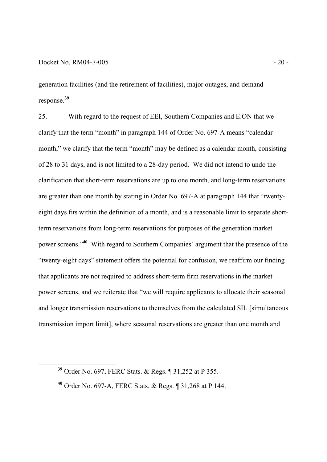-

generation facilities (and the retirement of facilities), major outages, and demand response. **39**

25. With regard to the request of EEI, Southern Companies and E.ON that we clarify that the term "month" in paragraph 144 of Order No. 697-A means "calendar month," we clarify that the term "month" may be defined as a calendar month, consisting of 28 to 31 days, and is not limited to a 28-day period. We did not intend to undo the clarification that short-term reservations are up to one month, and long-term reservations are greater than one month by stating in Order No. 697-A at paragraph 144 that "twentyeight days fits within the definition of a month, and is a reasonable limit to separate shortterm reservations from long-term reservations for purposes of the generation market power screens."**<sup>40</sup>** With regard to Southern Companies' argument that the presence of the "twenty-eight days" statement offers the potential for confusion, we reaffirm our finding that applicants are not required to address short-term firm reservations in the market power screens, and we reiterate that "we will require applicants to allocate their seasonal and longer transmission reservations to themselves from the calculated SIL [simultaneous transmission import limit], where seasonal reservations are greater than one month and

**<sup>39</sup>** Order No. 697, FERC Stats. & Regs. ¶ 31,252 at P 355.

**<sup>40</sup>** Order No. 697-A, FERC Stats. & Regs. ¶ 31,268 at P 144.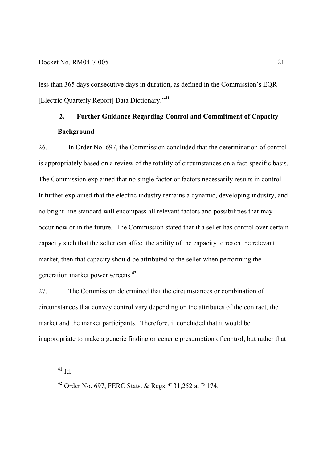less than 365 days consecutive days in duration, as defined in the Commission's EQR [Electric Quarterly Report] Data Dictionary."**<sup>41</sup>**

# **2. Further Guidance Regarding Control and Commitment of Capacity Background**

26. In Order No. 697, the Commission concluded that the determination of control is appropriately based on a review of the totality of circumstances on a fact-specific basis. The Commission explained that no single factor or factors necessarily results in control. It further explained that the electric industry remains a dynamic, developing industry, and no bright-line standard will encompass all relevant factors and possibilities that may occur now or in the future. The Commission stated that if a seller has control over certain capacity such that the seller can affect the ability of the capacity to reach the relevant market, then that capacity should be attributed to the seller when performing the generation market power screens.**<sup>42</sup>**

27. The Commission determined that the circumstances or combination of circumstances that convey control vary depending on the attributes of the contract, the market and the market participants. Therefore, it concluded that it would be inappropriate to make a generic finding or generic presumption of control, but rather that

**<sup>41</sup>** Id.

**<sup>42</sup>** Order No. 697, FERC Stats. & Regs. ¶ 31,252 at P 174.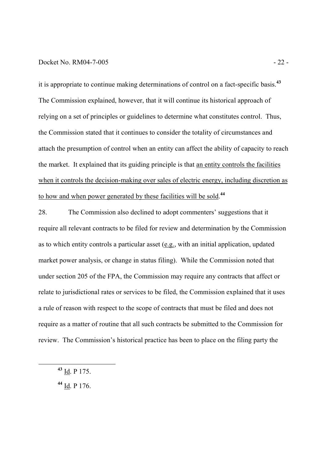#### Docket No. RM04-7-005 - 22 -

it is appropriate to continue making determinations of control on a fact-specific basis.**<sup>43</sup>** The Commission explained, however, that it will continue its historical approach of relying on a set of principles or guidelines to determine what constitutes control. Thus, the Commission stated that it continues to consider the totality of circumstances and attach the presumption of control when an entity can affect the ability of capacity to reach the market. It explained that its guiding principle is that an entity controls the facilities when it controls the decision-making over sales of electric energy, including discretion as to how and when power generated by these facilities will be sold. **44**

28. The Commission also declined to adopt commenters' suggestions that it require all relevant contracts to be filed for review and determination by the Commission as to which entity controls a particular asset (e.g., with an initial application, updated market power analysis, or change in status filing). While the Commission noted that under section 205 of the FPA, the Commission may require any contracts that affect or relate to jurisdictional rates or services to be filed, the Commission explained that it uses a rule of reason with respect to the scope of contracts that must be filed and does not require as a matter of routine that all such contracts be submitted to the Commission for review. The Commission's historical practice has been to place on the filing party the

**<sup>43</sup>** Id. P 175.

**<sup>44</sup>** Id. P 176.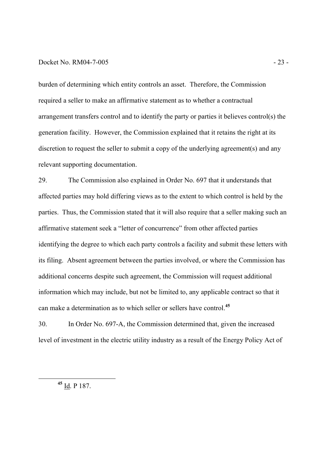#### Docket No. RM04-7-005 - 23 -

burden of determining which entity controls an asset. Therefore, the Commission required a seller to make an affirmative statement as to whether a contractual arrangement transfers control and to identify the party or parties it believes control(s) the generation facility. However, the Commission explained that it retains the right at its discretion to request the seller to submit a copy of the underlying agreement(s) and any relevant supporting documentation.

29. The Commission also explained in Order No. 697 that it understands that affected parties may hold differing views as to the extent to which control is held by the parties. Thus, the Commission stated that it will also require that a seller making such an affirmative statement seek a "letter of concurrence" from other affected parties identifying the degree to which each party controls a facility and submit these letters with its filing. Absent agreement between the parties involved, or where the Commission has additional concerns despite such agreement, the Commission will request additional information which may include, but not be limited to, any applicable contract so that it can make a determination as to which seller or sellers have control.**<sup>45</sup>**

30. In Order No. 697-A, the Commission determined that, given the increased level of investment in the electric utility industry as a result of the Energy Policy Act of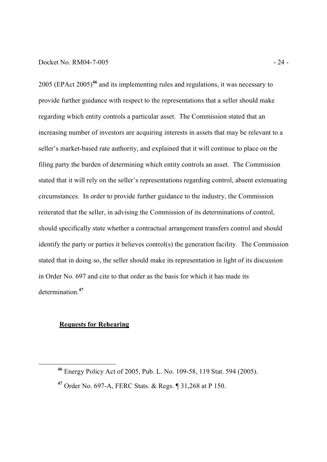#### Docket No. RM04-7-005 - 24 -

2005 (EPAct 2005)**<sup>46</sup>** and its implementing rules and regulations, it was necessary to provide further guidance with respect to the representations that a seller should make regarding which entity controls a particular asset. The Commission stated that an increasing number of investors are acquiring interests in assets that may be relevant to a seller's market-based rate authority, and explained that it will continue to place on the filing party the burden of determining which entity controls an asset. The Commission stated that it will rely on the seller's representations regarding control, absent extenuating circumstances. In order to provide further guidance to the industry, the Commission reiterated that the seller, in advising the Commission of its determinations of control, should specifically state whether a contractual arrangement transfers control and should identify the party or parties it believes control(s) the generation facility. The Commission stated that in doing so, the seller should make its representation in light of its discussion in Order No. 697 and cite to that order as the basis for which it has made its determination.**<sup>47</sup>**

#### **Requests for Rehearing**

**<sup>46</sup>** Energy Policy Act of 2005, Pub. L. No. 109-58, 119 Stat. 594 (2005).

**<sup>47</sup>** Order No. 697-A, FERC Stats. & Regs. ¶ 31,268 at P 150.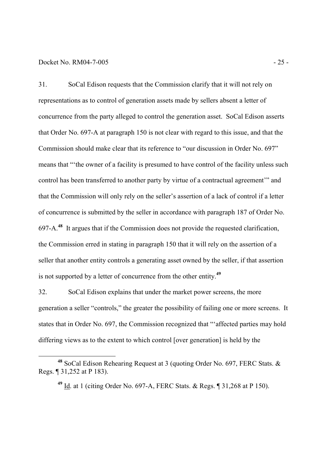#### Docket No. RM04-7-005 - 25 -

-

31. SoCal Edison requests that the Commission clarify that it will not rely on representations as to control of generation assets made by sellers absent a letter of concurrence from the party alleged to control the generation asset. SoCal Edison asserts that Order No. 697-A at paragraph 150 is not clear with regard to this issue, and that the Commission should make clear that its reference to "our discussion in Order No. 697" means that "'the owner of a facility is presumed to have control of the facility unless such control has been transferred to another party by virtue of a contractual agreement'" and that the Commission will only rely on the seller's assertion of a lack of control if a letter of concurrence is submitted by the seller in accordance with paragraph 187 of Order No. 697-A.**<sup>48</sup>** It argues that if the Commission does not provide the requested clarification, the Commission erred in stating in paragraph 150 that it will rely on the assertion of a seller that another entity controls a generating asset owned by the seller, if that assertion is not supported by a letter of concurrence from the other entity.**<sup>49</sup>**

32. SoCal Edison explains that under the market power screens, the more generation a seller "controls," the greater the possibility of failing one or more screens. It states that in Order No. 697, the Commission recognized that "'affected parties may hold differing views as to the extent to which control [over generation] is held by the

**<sup>48</sup>** SoCal Edison Rehearing Request at 3 (quoting Order No. 697, FERC Stats. & Regs. ¶ 31,252 at P 183).

**<sup>49</sup>** Id. at 1 (citing Order No. 697-A, FERC Stats. & Regs. ¶ 31,268 at P 150).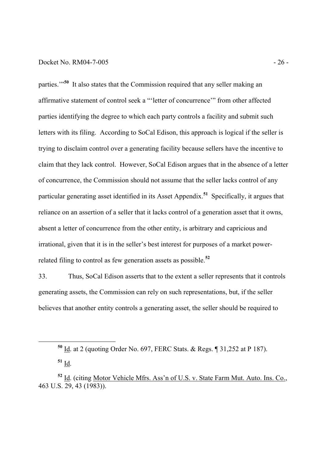#### Docket No. RM04-7-005 - 26 -

parties."<sup>50</sup> It also states that the Commission required that any seller making an affirmative statement of control seek a "'letter of concurrence'" from other affected parties identifying the degree to which each party controls a facility and submit such letters with its filing. According to SoCal Edison, this approach is logical if the seller is trying to disclaim control over a generating facility because sellers have the incentive to claim that they lack control. However, SoCal Edison argues that in the absence of a letter of concurrence, the Commission should not assume that the seller lacks control of any particular generating asset identified in its Asset Appendix.**<sup>51</sup>** Specifically, it argues that reliance on an assertion of a seller that it lacks control of a generation asset that it owns, absent a letter of concurrence from the other entity, is arbitrary and capricious and irrational, given that it is in the seller's best interest for purposes of a market powerrelated filing to control as few generation assets as possible.**<sup>52</sup>**

33. Thus, SoCal Edison asserts that to the extent a seller represents that it controls generating assets, the Commission can rely on such representations, but, if the seller believes that another entity controls a generating asset, the seller should be required to

**<sup>51</sup>** Id.

**<sup>50</sup>** Id. at 2 (quoting Order No. 697, FERC Stats. & Regs. ¶ 31,252 at P 187).

**<sup>52</sup>** Id. (citing Motor Vehicle Mfrs. Ass'n of U.S. v. State Farm Mut. Auto. Ins. Co., 463 U.S. 29, 43 (1983)).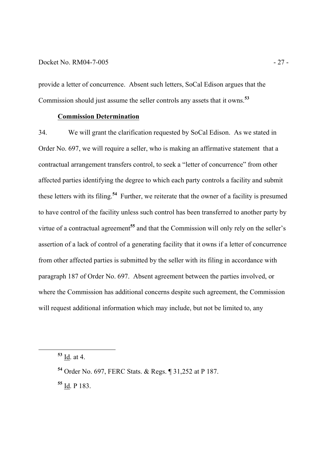#### Docket No. RM04-7-005 - 27 -

provide a letter of concurrence. Absent such letters, SoCal Edison argues that the Commission should just assume the seller controls any assets that it owns.**<sup>53</sup>**

#### **Commission Determination**

34. We will grant the clarification requested by SoCal Edison. As we stated in Order No. 697, we will require a seller, who is making an affirmative statement that a contractual arrangement transfers control, to seek a "letter of concurrence" from other affected parties identifying the degree to which each party controls a facility and submit these letters with its filing.**<sup>54</sup>** Further, we reiterate that the owner of a facility is presumed to have control of the facility unless such control has been transferred to another party by virtue of a contractual agreement**<sup>55</sup>** and that the Commission will only rely on the seller's assertion of a lack of control of a generating facility that it owns if a letter of concurrence from other affected parties is submitted by the seller with its filing in accordance with paragraph 187 of Order No. 697. Absent agreement between the parties involved, or where the Commission has additional concerns despite such agreement, the Commission will request additional information which may include, but not be limited to, any

-

**<sup>55</sup>** Id. P 183.

**<sup>53</sup>** Id. at 4.

**<sup>54</sup>** Order No. 697, FERC Stats. & Regs. ¶ 31,252 at P 187.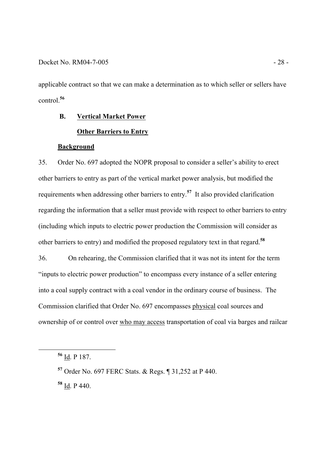applicable contract so that we can make a determination as to which seller or sellers have control.**<sup>56</sup>**

## **B. Vertical Market Power Other Barriers to Entry**

#### **Background**

35. Order No. 697 adopted the NOPR proposal to consider a seller's ability to erect other barriers to entry as part of the vertical market power analysis, but modified the requirements when addressing other barriers to entry. **<sup>57</sup>** It also provided clarification regarding the information that a seller must provide with respect to other barriers to entry (including which inputs to electric power production the Commission will consider as other barriers to entry) and modified the proposed regulatory text in that regard.**<sup>58</sup>**

36. On rehearing, the Commission clarified that it was not its intent for the term "inputs to electric power production" to encompass every instance of a seller entering into a coal supply contract with a coal vendor in the ordinary course of business. The Commission clarified that Order No. 697 encompasses physical coal sources and ownership of or control over who may access transportation of coal via barges and railcar

-

**<sup>58</sup>** Id. P 440.

**<sup>56</sup>** Id. P 187.

**<sup>57</sup>** Order No. 697 FERC Stats. & Regs. ¶ 31,252 at P 440.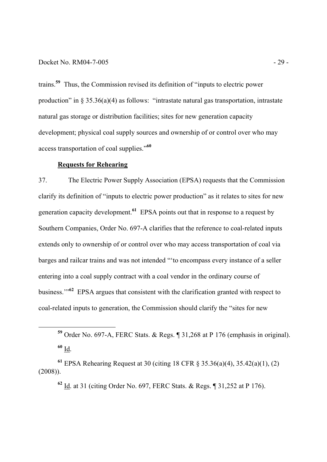#### Docket No. RM04-7-005 - 29 -

trains.**<sup>59</sup>** Thus, the Commission revised its definition of "inputs to electric power production" in § 35.36(a)(4) as follows: "intrastate natural gas transportation, intrastate natural gas storage or distribution facilities; sites for new generation capacity development; physical coal supply sources and ownership of or control over who may access transportation of coal supplies."**<sup>60</sup>**

#### **Requests for Rehearing**

-

37. The Electric Power Supply Association (EPSA) requests that the Commission clarify its definition of "inputs to electric power production" as it relates to sites for new generation capacity development.**<sup>61</sup>** EPSA points out that in response to a request by Southern Companies, Order No. 697-A clarifies that the reference to coal-related inputs extends only to ownership of or control over who may access transportation of coal via barges and railcar trains and was not intended "'to encompass every instance of a seller entering into a coal supply contract with a coal vendor in the ordinary course of business."<sup>62</sup> EPSA argues that consistent with the clarification granted with respect to coal-related inputs to generation, the Commission should clarify the "sites for new

**<sup>59</sup>** Order No. 697-A, FERC Stats. & Regs. ¶ 31,268 at P 176 (emphasis in original). **<sup>60</sup>** Id.

**<sup>61</sup>** EPSA Rehearing Request at 30 (citing 18 CFR § 35.36(a)(4), 35.42(a)(1), (2) (2008)).

**<sup>62</sup>** Id. at 31 (citing Order No. 697, FERC Stats. & Regs. ¶ 31,252 at P 176).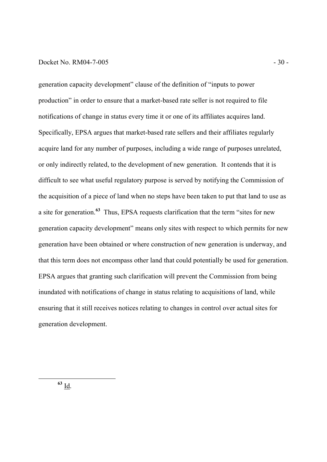#### Docket No. RM04-7-005 - 30 -

generation capacity development" clause of the definition of "inputs to power production" in order to ensure that a market-based rate seller is not required to file notifications of change in status every time it or one of its affiliates acquires land. Specifically, EPSA argues that market-based rate sellers and their affiliates regularly acquire land for any number of purposes, including a wide range of purposes unrelated, or only indirectly related, to the development of new generation. It contends that it is difficult to see what useful regulatory purpose is served by notifying the Commission of the acquisition of a piece of land when no steps have been taken to put that land to use as a site for generation.**<sup>63</sup>** Thus, EPSA requests clarification that the term "sites for new generation capacity development" means only sites with respect to which permits for new generation have been obtained or where construction of new generation is underway, and that this term does not encompass other land that could potentially be used for generation. EPSA argues that granting such clarification will prevent the Commission from being inundated with notifications of change in status relating to acquisitions of land, while ensuring that it still receives notices relating to changes in control over actual sites for generation development.

**<sup>63</sup>** Id.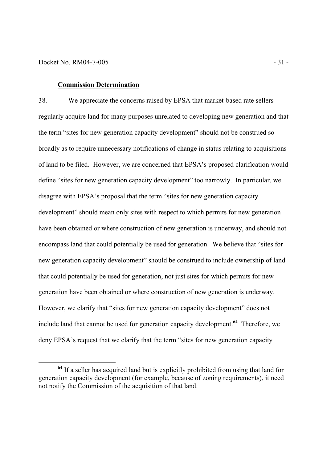-

#### **Commission Determination**

38. We appreciate the concerns raised by EPSA that market-based rate sellers regularly acquire land for many purposes unrelated to developing new generation and that the term "sites for new generation capacity development" should not be construed so broadly as to require unnecessary notifications of change in status relating to acquisitions of land to be filed. However, we are concerned that EPSA's proposed clarification would define "sites for new generation capacity development" too narrowly. In particular, we disagree with EPSA's proposal that the term "sites for new generation capacity development" should mean only sites with respect to which permits for new generation have been obtained or where construction of new generation is underway, and should not encompass land that could potentially be used for generation. We believe that "sites for new generation capacity development" should be construed to include ownership of land that could potentially be used for generation, not just sites for which permits for new generation have been obtained or where construction of new generation is underway. However, we clarify that "sites for new generation capacity development" does not include land that cannot be used for generation capacity development.**<sup>64</sup>** Therefore, we deny EPSA's request that we clarify that the term "sites for new generation capacity

**<sup>64</sup>** If a seller has acquired land but is explicitly prohibited from using that land for generation capacity development (for example, because of zoning requirements), it need not notify the Commission of the acquisition of that land.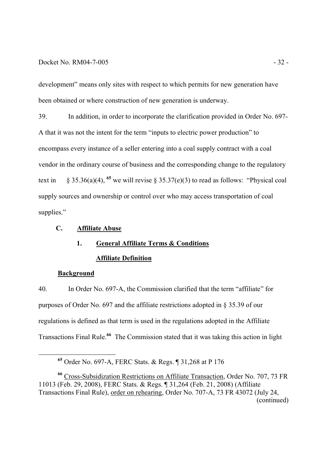#### Docket No. RM04-7-005 - 32 -

development" means only sites with respect to which permits for new generation have been obtained or where construction of new generation is underway.

39. In addition, in order to incorporate the clarification provided in Order No. 697- A that it was not the intent for the term "inputs to electric power production" to encompass every instance of a seller entering into a coal supply contract with a coal vendor in the ordinary course of business and the corresponding change to the regulatory text in § 35.36(a)(4), <sup>65</sup> we will revise § 35.37(e)(3) to read as follows: "Physical coal supply sources and ownership or control over who may access transportation of coal supplies."

### **C. Affiliate Abuse**

# **1. General Affiliate Terms & Conditions Affiliate Definition**

#### **Background**

-

40. In Order No. 697-A, the Commission clarified that the term "affiliate" for purposes of Order No. 697 and the affiliate restrictions adopted in § 35.39 of our regulations is defined as that term is used in the regulations adopted in the Affiliate Transactions Final Rule.**<sup>66</sup>** The Commission stated that it was taking this action in light

**<sup>65</sup>** Order No. 697-A, FERC Stats. & Regs. ¶ 31,268 at P 176

**<sup>66</sup>** Cross-Subsidization Restrictions on Affiliate Transaction, Order No. 707, 73 FR 11013 (Feb. 29, 2008), FERC Stats. & Regs. ¶ 31,264 (Feb. 21, 2008) (Affiliate Transactions Final Rule), order on rehearing, Order No. 707-A, 73 FR 43072 (July 24, (continued)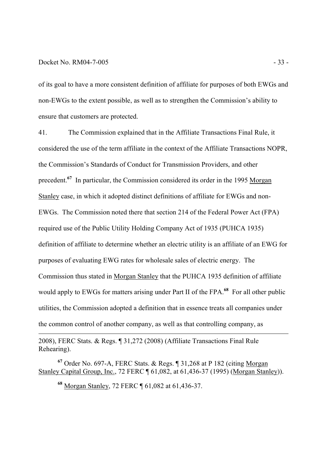#### Docket No. RM04-7-005 - 33 -

-

of its goal to have a more consistent definition of affiliate for purposes of both EWGs and non-EWGs to the extent possible, as well as to strengthen the Commission's ability to ensure that customers are protected.

41. The Commission explained that in the Affiliate Transactions Final Rule, it considered the use of the term affiliate in the context of the Affiliate Transactions NOPR, the Commission's Standards of Conduct for Transmission Providers, and other precedent.**<sup>67</sup>** In particular, the Commission considered its order in the 1995 Morgan Stanley case, in which it adopted distinct definitions of affiliate for EWGs and non-EWGs. The Commission noted there that section 214 of the Federal Power Act (FPA) required use of the Public Utility Holding Company Act of 1935 (PUHCA 1935) definition of affiliate to determine whether an electric utility is an affiliate of an EWG for purposes of evaluating EWG rates for wholesale sales of electric energy. The Commission thus stated in Morgan Stanley that the PUHCA 1935 definition of affiliate would apply to EWGs for matters arising under Part II of the FPA.<sup>68</sup> For all other public utilities, the Commission adopted a definition that in essence treats all companies under the common control of another company, as well as that controlling company, as

2008), FERC Stats. & Regs. ¶ 31,272 (2008) (Affiliate Transactions Final Rule Rehearing).

**<sup>67</sup>** Order No. 697-A, FERC Stats. & Regs. ¶ 31,268 at P 182 (citing Morgan Stanley Capital Group, Inc., 72 FERC ¶ 61,082, at 61,436-37 (1995) (Morgan Stanley)).

**<sup>68</sup>** Morgan Stanley, 72 FERC ¶ 61,082 at 61,436-37.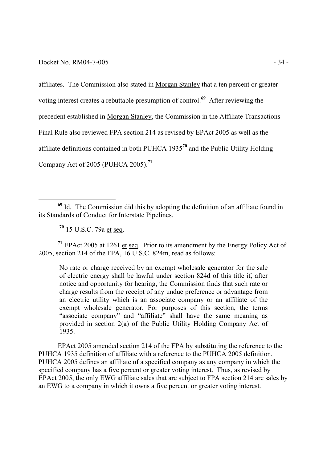affiliates. The Commission also stated in Morgan Stanley that a ten percent or greater voting interest creates a rebuttable presumption of control.**<sup>69</sup>** After reviewing the precedent established in Morgan Stanley, the Commission in the Affiliate Transactions Final Rule also reviewed FPA section 214 as revised by EPAct 2005 as well as the affiliate definitions contained in both PUHCA 1935**<sup>70</sup>** and the Public Utility Holding Company Act of 2005 (PUHCA 2005).**<sup>71</sup>**

**<sup>70</sup>** 15 U.S.C. 79a et seq.

-

**<sup>71</sup>** EPAct 2005 at 1261 et seq. Prior to its amendment by the Energy Policy Act of 2005, section 214 of the FPA, 16 U.S.C. 824m, read as follows:

No rate or charge received by an exempt wholesale generator for the sale of electric energy shall be lawful under section 824d of this title if, after notice and opportunity for hearing, the Commission finds that such rate or charge results from the receipt of any undue preference or advantage from an electric utility which is an associate company or an affiliate of the exempt wholesale generator. For purposes of this section, the terms "associate company" and "affiliate" shall have the same meaning as provided in section 2(a) of the Public Utility Holding Company Act of 1935.

EPAct 2005 amended section 214 of the FPA by substituting the reference to the PUHCA 1935 definition of affiliate with a reference to the PUHCA 2005 definition. PUHCA 2005 defines an affiliate of a specified company as any company in which the specified company has a five percent or greater voting interest. Thus, as revised by EPAct 2005, the only EWG affiliate sales that are subject to FPA section 214 are sales by an EWG to a company in which it owns a five percent or greater voting interest.

**<sup>69</sup>** Id*.* The Commission did this by adopting the definition of an affiliate found in its Standards of Conduct for Interstate Pipelines.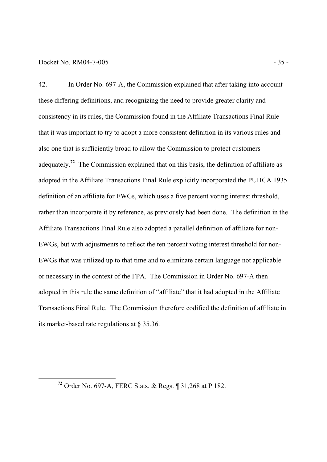## Docket No. RM04-7-005 - 35 -

-

42. In Order No. 697-A, the Commission explained that after taking into account these differing definitions, and recognizing the need to provide greater clarity and consistency in its rules, the Commission found in the Affiliate Transactions Final Rule that it was important to try to adopt a more consistent definition in its various rules and also one that is sufficiently broad to allow the Commission to protect customers adequately.**<sup>72</sup>** The Commission explained that on this basis, the definition of affiliate as adopted in the Affiliate Transactions Final Rule explicitly incorporated the PUHCA 1935 definition of an affiliate for EWGs, which uses a five percent voting interest threshold, rather than incorporate it by reference, as previously had been done. The definition in the Affiliate Transactions Final Rule also adopted a parallel definition of affiliate for non-EWGs, but with adjustments to reflect the ten percent voting interest threshold for non-EWGs that was utilized up to that time and to eliminate certain language not applicable or necessary in the context of the FPA. The Commission in Order No. 697-A then adopted in this rule the same definition of "affiliate" that it had adopted in the Affiliate Transactions Final Rule. The Commission therefore codified the definition of affiliate in its market-based rate regulations at § 35.36.

**<sup>72</sup>** Order No. 697-A, FERC Stats. & Regs. ¶ 31,268 at P 182.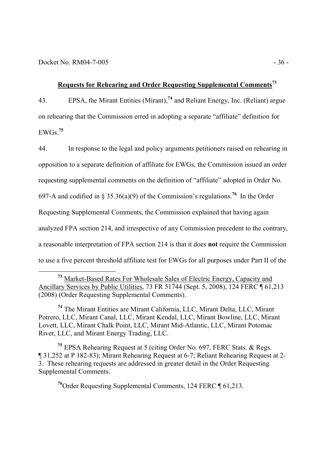-

## **Requests for Rehearing and Order Requesting Supplemental Comments<sup>73</sup>**

43. EPSA, the Mirant Entities (Mirant),**<sup>74</sup>** and Reliant Energy, Inc. (Reliant) argue on rehearing that the Commission erred in adopting a separate "affiliate" definition for EWGs.**<sup>75</sup>**

44. In response to the legal and policy arguments petitioners raised on rehearing in opposition to a separate definition of affiliate for EWGs, the Commission issued an order requesting supplemental comments on the definition of "affiliate" adopted in Order No. 697-A and codified in § 35.36(a)(9) of the Commission's regulations.**<sup>76</sup>** In the Order Requesting Supplemental Comments, the Commission explained that having again analyzed FPA section 214, and irrespective of any Commission precedent to the contrary, a reasonable interpretation of FPA section 214 is that it does **not** require the Commission to use a five percent threshold affiliate test for EWGs for all purposes under Part II of the

**<sup>74</sup>** The Mirant Entities are Mirant California, LLC, Mirant Delta, LLC, Mirant Potrero, LLC, Mirant Canal, LLC, Mirant Kendal, LLC, Mirant Bowline, LLC, Mirant Lovett, LLC, Mirant Chalk Point, LLC, Mirant Mid-Atlantic, LLC, Mirant Potomac River, LLC, and Mirant Energy Trading, LLC.

**<sup>75</sup>** EPSA Rehearing Request at 5 (citing Order No. 697, FERC Stats. & Regs. ¶ 31,252 at P 182-83); Mirant Rehearing Request at 6-7; Reliant Rehearing Request at 2- 3. These rehearing requests are addressed in greater detail in the Order Requesting Supplemental Comments.

**<sup>76</sup>**Order Requesting Supplemental Comments, 124 FERC ¶ 61,213.

**<sup>73</sup>** Market-Based Rates For Wholesale Sales of Electric Energy, Capacity and Ancillary Services by Public Utilities, 73 FR 51744 (Sept. 5, 2008), 124 FERC ¶ 61,213 (2008) (Order Requesting Supplemental Comments).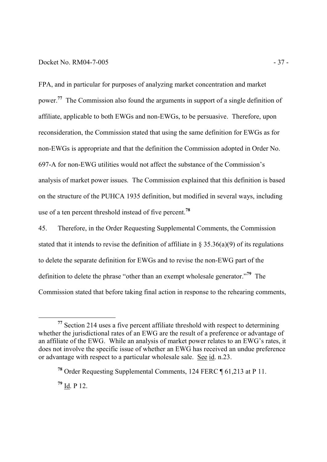## Docket No. RM04-7-005 - 37 -

FPA, and in particular for purposes of analyzing market concentration and market power.<sup>77</sup> The Commission also found the arguments in support of a single definition of affiliate, applicable to both EWGs and non-EWGs, to be persuasive. Therefore, upon reconsideration, the Commission stated that using the same definition for EWGs as for non-EWGs is appropriate and that the definition the Commission adopted in Order No. 697-A for non-EWG utilities would not affect the substance of the Commission's analysis of market power issues. The Commission explained that this definition is based on the structure of the PUHCA 1935 definition, but modified in several ways, including use of a ten percent threshold instead of five percent.**<sup>78</sup>**

45. Therefore, in the Order Requesting Supplemental Comments, the Commission stated that it intends to revise the definition of affiliate in  $\S$  35.36(a)(9) of its regulations to delete the separate definition for EWGs and to revise the non-EWG part of the definition to delete the phrase "other than an exempt wholesale generator."**<sup>79</sup>** The Commission stated that before taking final action in response to the rehearing comments,

**<sup>77</sup>** Section 214 uses a five percent affiliate threshold with respect to determining whether the jurisdictional rates of an EWG are the result of a preference or advantage of an affiliate of the EWG. While an analysis of market power relates to an EWG's rates, it does not involve the specific issue of whether an EWG has received an undue preference or advantage with respect to a particular wholesale sale. See id. n.23.

**<sup>78</sup>** Order Requesting Supplemental Comments, 124 FERC ¶ 61,213 at P 11.

**<sup>79</sup>** Id. P 12.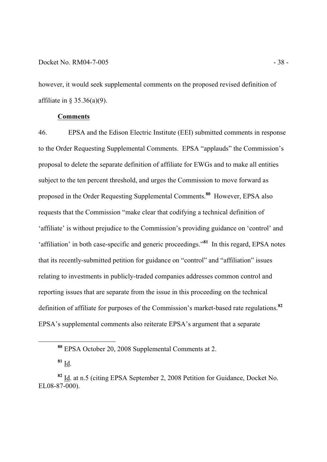## Docket No. RM04-7-005 - 38 -

however, it would seek supplemental comments on the proposed revised definition of affiliate in § 35.36(a)(9).

## **Comments**

46. EPSA and the Edison Electric Institute (EEI) submitted comments in response to the Order Requesting Supplemental Comments. EPSA "applauds" the Commission's proposal to delete the separate definition of affiliate for EWGs and to make all entities subject to the ten percent threshold, and urges the Commission to move forward as proposed in the Order Requesting Supplemental Comments.**<sup>80</sup>** However, EPSA also requests that the Commission "make clear that codifying a technical definition of 'affiliate' is without prejudice to the Commission's providing guidance on 'control' and 'affiliation' in both case-specific and generic proceedings."**<sup>81</sup>** In this regard, EPSA notes that its recently-submitted petition for guidance on "control" and "affiliation" issues relating to investments in publicly-traded companies addresses common control and reporting issues that are separate from the issue in this proceeding on the technical definition of affiliate for purposes of the Commission's market-based rate regulations.**<sup>82</sup>** EPSA's supplemental comments also reiterate EPSA's argument that a separate

**<sup>80</sup>** EPSA October 20, 2008 Supplemental Comments at 2.

**<sup>81</sup>** Id.

**<sup>82</sup>** Id. at n.5 (citing EPSA September 2, 2008 Petition for Guidance, Docket No. EL08-87-000).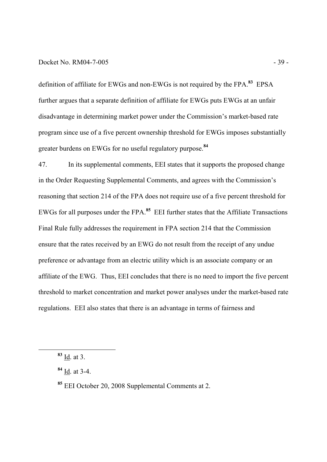## Docket No. RM04-7-005 - 39 -

definition of affiliate for EWGs and non-EWGs is not required by the FPA.**<sup>83</sup>** EPSA further argues that a separate definition of affiliate for EWGs puts EWGs at an unfair disadvantage in determining market power under the Commission's market-based rate program since use of a five percent ownership threshold for EWGs imposes substantially greater burdens on EWGs for no useful regulatory purpose. **84**

47. In its supplemental comments, EEI states that it supports the proposed change in the Order Requesting Supplemental Comments, and agrees with the Commission's reasoning that section 214 of the FPA does not require use of a five percent threshold for EWGs for all purposes under the FPA.**<sup>85</sup>** EEI further states that the Affiliate Transactions Final Rule fully addresses the requirement in FPA section 214 that the Commission ensure that the rates received by an EWG do not result from the receipt of any undue preference or advantage from an electric utility which is an associate company or an affiliate of the EWG. Thus, EEI concludes that there is no need to import the five percent threshold to market concentration and market power analyses under the market-based rate regulations. EEI also states that there is an advantage in terms of fairness and

**<sup>83</sup>** Id. at 3.

**<sup>84</sup>** Id. at 3-4.

**<sup>85</sup>** EEI October 20, 2008 Supplemental Comments at 2.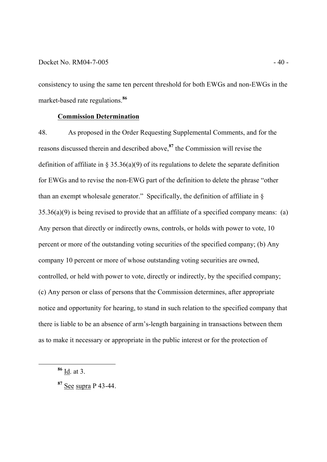consistency to using the same ten percent threshold for both EWGs and non-EWGs in the market-based rate regulations.**<sup>86</sup>**

# **Commission Determination**

48. As proposed in the Order Requesting Supplemental Comments, and for the reasons discussed therein and described above,**<sup>87</sup>** the Commission will revise the definition of affiliate in § 35.36(a)(9) of its regulations to delete the separate definition for EWGs and to revise the non-EWG part of the definition to delete the phrase "other than an exempt wholesale generator." Specifically, the definition of affiliate in  $\delta$ 35.36(a)(9) is being revised to provide that an affiliate of a specified company means: (a) Any person that directly or indirectly owns, controls, or holds with power to vote, 10 percent or more of the outstanding voting securities of the specified company; (b) Any company 10 percent or more of whose outstanding voting securities are owned, controlled, or held with power to vote, directly or indirectly, by the specified company; (c) Any person or class of persons that the Commission determines, after appropriate notice and opportunity for hearing, to stand in such relation to the specified company that there is liable to be an absence of arm's-length bargaining in transactions between them as to make it necessary or appropriate in the public interest or for the protection of

**<sup>86</sup>** Id. at 3.

**<sup>87</sup>** See supra P 43-44.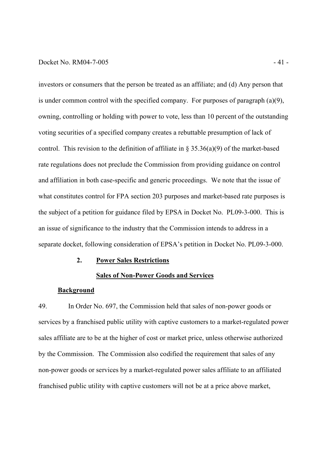## Docket No. RM04-7-005 - 41

investors or consumers that the person be treated as an affiliate; and (d) Any person that is under common control with the specified company. For purposes of paragraph (a)(9), owning, controlling or holding with power to vote, less than 10 percent of the outstanding voting securities of a specified company creates a rebuttable presumption of lack of control. This revision to the definition of affiliate in  $\S 35.36(a)(9)$  of the market-based rate regulations does not preclude the Commission from providing guidance on control and affiliation in both case-specific and generic proceedings. We note that the issue of what constitutes control for FPA section 203 purposes and market-based rate purposes is the subject of a petition for guidance filed by EPSA in Docket No. PL09-3-000. This is an issue of significance to the industry that the Commission intends to address in a separate docket, following consideration of EPSA's petition in Docket No. PL09-3-000.

# **2. Power Sales Restrictions**

### **Sales of Non-Power Goods and Services**

# **Background**

49. In Order No. 697, the Commission held that sales of non-power goods or services by a franchised public utility with captive customers to a market-regulated power sales affiliate are to be at the higher of cost or market price, unless otherwise authorized by the Commission. The Commission also codified the requirement that sales of any non-power goods or services by a market-regulated power sales affiliate to an affiliated franchised public utility with captive customers will not be at a price above market,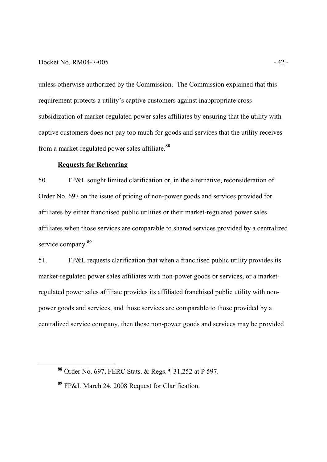## Docket No. RM04-7-005 - 42 -

unless otherwise authorized by the Commission. The Commission explained that this requirement protects a utility's captive customers against inappropriate crosssubsidization of market-regulated power sales affiliates by ensuring that the utility with captive customers does not pay too much for goods and services that the utility receives from a market-regulated power sales affiliate.**<sup>88</sup>**

# **Requests for Rehearing**

-

50. FP&L sought limited clarification or, in the alternative, reconsideration of Order No. 697 on the issue of pricing of non-power goods and services provided for affiliates by either franchised public utilities or their market-regulated power sales affiliates when those services are comparable to shared services provided by a centralized service company.**<sup>89</sup>**

51. FP&L requests clarification that when a franchised public utility provides its market-regulated power sales affiliates with non-power goods or services, or a marketregulated power sales affiliate provides its affiliated franchised public utility with nonpower goods and services, and those services are comparable to those provided by a centralized service company, then those non-power goods and services may be provided

**<sup>88</sup>** Order No. 697, FERC Stats. & Regs. ¶ 31,252 at P 597.

**<sup>89</sup>** FP&L March 24, 2008 Request for Clarification.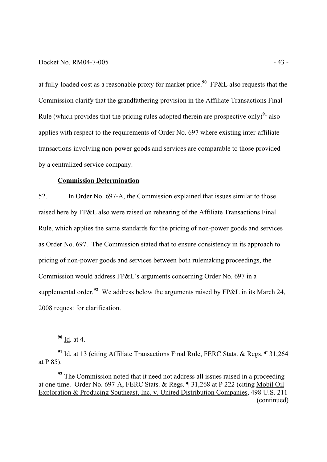## Docket No. RM04-7-005 - 43

at fully-loaded cost as a reasonable proxy for market price.**<sup>90</sup>** FP&L also requests that the Commission clarify that the grandfathering provision in the Affiliate Transactions Final Rule (which provides that the pricing rules adopted therein are prospective only)<sup>91</sup> also applies with respect to the requirements of Order No. 697 where existing inter-affiliate transactions involving non-power goods and services are comparable to those provided by a centralized service company.

# **Commission Determination**

52. In Order No. 697-A, the Commission explained that issues similar to those raised here by FP&L also were raised on rehearing of the Affiliate Transactions Final Rule, which applies the same standards for the pricing of non-power goods and services as Order No. 697. The Commission stated that to ensure consistency in its approach to pricing of non-power goods and services between both rulemaking proceedings, the Commission would address FP&L's arguments concerning Order No. 697 in a supplemental order.**<sup>92</sup>** We address below the arguments raised by FP&L in its March 24, 2008 request for clarification.

**<sup>90</sup>** Id. at 4.

**<sup>91</sup>** Id. at 13 (citing Affiliate Transactions Final Rule, FERC Stats. & Regs. ¶ 31,264 at P 85).

<sup>&</sup>lt;sup>92</sup> The Commission noted that it need not address all issues raised in a proceeding at one time. Order No. 697-A, FERC Stats. & Regs. ¶ 31,268 at P 222 (citing Mobil Oil Exploration & Producing Southeast, Inc. v. United Distribution Companies, 498 U.S. 211 (continued)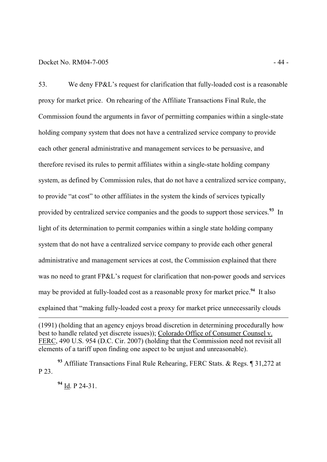## Docket No. RM04-7-005 - 44 -

53. We deny FP&L's request for clarification that fully-loaded cost is a reasonable proxy for market price. On rehearing of the Affiliate Transactions Final Rule, the Commission found the arguments in favor of permitting companies within a single-state holding company system that does not have a centralized service company to provide each other general administrative and management services to be persuasive, and therefore revised its rules to permit affiliates within a single-state holding company system, as defined by Commission rules, that do not have a centralized service company, to provide "at cost" to other affiliates in the system the kinds of services typically provided by centralized service companies and the goods to support those services.**<sup>93</sup>** In light of its determination to permit companies within a single state holding company system that do not have a centralized service company to provide each other general administrative and management services at cost, the Commission explained that there was no need to grant FP&L's request for clarification that non-power goods and services may be provided at fully-loaded cost as a reasonable proxy for market price.**<sup>94</sup>** It also explained that "making fully-loaded cost a proxy for market price unnecessarily clouds

**<sup>94</sup>** Id. P 24-31.

<sup>(1991) (</sup>holding that an agency enjoys broad discretion in determining procedurally how best to handle related yet discrete issues)); Colorado Office of Consumer Counsel v. FERC, 490 U.S. 954 (D.C. Cir. 2007) (holding that the Commission need not revisit all elements of a tariff upon finding one aspect to be unjust and unreasonable).

**<sup>93</sup>** Affiliate Transactions Final Rule Rehearing, FERC Stats. & Regs. ¶ 31,272 at P 23.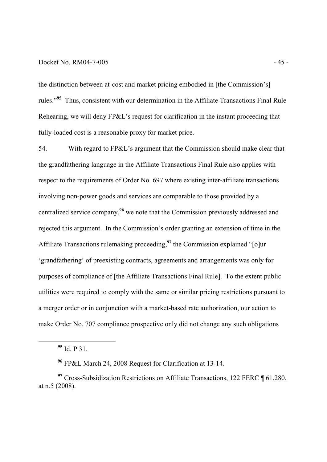## Docket No. RM04-7-005 - 45

the distinction between at-cost and market pricing embodied in [the Commission's] rules."**<sup>95</sup>** Thus, consistent with our determination in the Affiliate Transactions Final Rule Rehearing, we will deny FP&L's request for clarification in the instant proceeding that fully-loaded cost is a reasonable proxy for market price.

54. With regard to FP&L's argument that the Commission should make clear that the grandfathering language in the Affiliate Transactions Final Rule also applies with respect to the requirements of Order No. 697 where existing inter-affiliate transactions involving non-power goods and services are comparable to those provided by a centralized service company,**<sup>96</sup>** we note that the Commission previously addressed and rejected this argument. In the Commission's order granting an extension of time in the Affiliate Transactions rulemaking proceeding,**<sup>97</sup>** the Commission explained "[o]ur 'grandfathering' of preexisting contracts, agreements and arrangements was only for purposes of compliance of [the Affiliate Transactions Final Rule]. To the extent public utilities were required to comply with the same or similar pricing restrictions pursuant to a merger order or in conjunction with a market-based rate authorization, our action to make Order No. 707 compliance prospective only did not change any such obligations

**<sup>95</sup>** Id. P 31.

-

**<sup>96</sup>** FP&L March 24, 2008 Request for Clarification at 13-14.

**<sup>97</sup>** Cross-Subsidization Restrictions on Affiliate Transactions, 122 FERC ¶ 61,280, at n.5 (2008).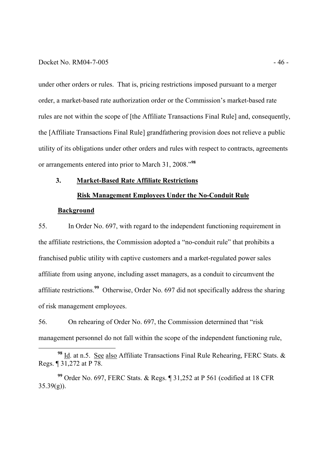### Docket No. RM04-7-005 - 46 -

under other orders or rules. That is, pricing restrictions imposed pursuant to a merger order, a market-based rate authorization order or the Commission's market-based rate rules are not within the scope of [the Affiliate Transactions Final Rule] and, consequently, the [Affiliate Transactions Final Rule] grandfathering provision does not relieve a public utility of its obligations under other orders and rules with respect to contracts, agreements or arrangements entered into prior to March 31, 2008."**<sup>98</sup>**

## **3. Market-Based Rate Affiliate Restrictions**

# **Risk Management Employees Under the No-Conduit Rule**

#### **Background**

-

55. In Order No. 697, with regard to the independent functioning requirement in the affiliate restrictions, the Commission adopted a "no-conduit rule" that prohibits a franchised public utility with captive customers and a market-regulated power sales affiliate from using anyone, including asset managers, as a conduit to circumvent the affiliate restrictions.**<sup>99</sup>** Otherwise, Order No. 697 did not specifically address the sharing of risk management employees.

56. On rehearing of Order No. 697, the Commission determined that "risk management personnel do not fall within the scope of the independent functioning rule,

**<sup>98</sup>** Id. at n.5. See also Affiliate Transactions Final Rule Rehearing, FERC Stats. & Regs. ¶ 31,272 at P 78.

**<sup>99</sup>** Order No. 697, FERC Stats. & Regs. ¶ 31,252 at P 561 (codified at 18 CFR  $35.39(g)$ ).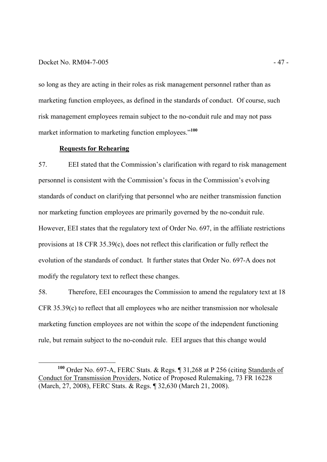## Docket No. RM04-7-005 - 47 -

-

so long as they are acting in their roles as risk management personnel rather than as marketing function employees, as defined in the standards of conduct. Of course, such risk management employees remain subject to the no-conduit rule and may not pass market information to marketing function employees." **100**

# **Requests for Rehearing**

57. EEI stated that the Commission's clarification with regard to risk management personnel is consistent with the Commission's focus in the Commission's evolving standards of conduct on clarifying that personnel who are neither transmission function nor marketing function employees are primarily governed by the no-conduit rule. However, EEI states that the regulatory text of Order No. 697, in the affiliate restrictions provisions at 18 CFR 35.39(c), does not reflect this clarification or fully reflect the evolution of the standards of conduct. It further states that Order No. 697-A does not modify the regulatory text to reflect these changes.

58. Therefore, EEI encourages the Commission to amend the regulatory text at 18 CFR 35.39(c) to reflect that all employees who are neither transmission nor wholesale marketing function employees are not within the scope of the independent functioning rule, but remain subject to the no-conduit rule. EEI argues that this change would

**<sup>100</sup>** Order No. 697-A, FERC Stats. & Regs. ¶ 31,268 at P 256 (citing Standards of Conduct for Transmission Providers, Notice of Proposed Rulemaking, 73 FR 16228 (March, 27, 2008), FERC Stats. & Regs. ¶ 32,630 (March 21, 2008).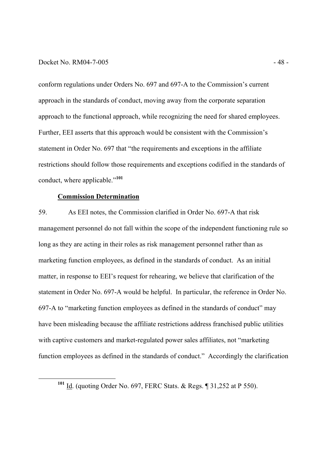## Docket No. RM04-7-005 - 48 -

conform regulations under Orders No. 697 and 697-A to the Commission's current approach in the standards of conduct, moving away from the corporate separation approach to the functional approach, while recognizing the need for shared employees. Further, EEI asserts that this approach would be consistent with the Commission's statement in Order No. 697 that "the requirements and exceptions in the affiliate restrictions should follow those requirements and exceptions codified in the standards of conduct, where applicable."**<sup>101</sup>**

## **Commission Determination**

-

59. As EEI notes, the Commission clarified in Order No. 697-A that risk management personnel do not fall within the scope of the independent functioning rule so long as they are acting in their roles as risk management personnel rather than as marketing function employees, as defined in the standards of conduct. As an initial matter, in response to EEI's request for rehearing, we believe that clarification of the statement in Order No. 697-A would be helpful. In particular, the reference in Order No. 697-A to "marketing function employees as defined in the standards of conduct" may have been misleading because the affiliate restrictions address franchised public utilities with captive customers and market-regulated power sales affiliates, not "marketing" function employees as defined in the standards of conduct." Accordingly the clarification

**<sup>101</sup>** Id. (quoting Order No. 697, FERC Stats. & Regs. ¶ 31,252 at P 550).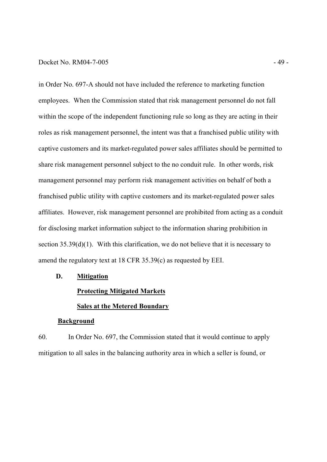### Docket No. RM04-7-005 - 49 -

in Order No. 697-A should not have included the reference to marketing function employees. When the Commission stated that risk management personnel do not fall within the scope of the independent functioning rule so long as they are acting in their roles as risk management personnel, the intent was that a franchised public utility with captive customers and its market-regulated power sales affiliates should be permitted to share risk management personnel subject to the no conduit rule. In other words, risk management personnel may perform risk management activities on behalf of both a franchised public utility with captive customers and its market-regulated power sales affiliates. However, risk management personnel are prohibited from acting as a conduit for disclosing market information subject to the information sharing prohibition in section 35.39(d)(1). With this clarification, we do not believe that it is necessary to amend the regulatory text at 18 CFR 35.39(c) as requested by EEI.

## **D. Mitigation**

# **Protecting Mitigated Markets**

# **Sales at the Metered Boundary**

# **Background**

60. In Order No. 697, the Commission stated that it would continue to apply mitigation to all sales in the balancing authority area in which a seller is found, or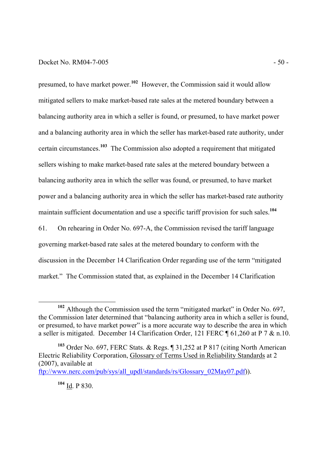## Docket No. RM04-7-005 - 50 -

presumed, to have market power.**<sup>102</sup>** However, the Commission said it would allow mitigated sellers to make market-based rate sales at the metered boundary between a balancing authority area in which a seller is found, or presumed, to have market power and a balancing authority area in which the seller has market-based rate authority, under certain circumstances.**<sup>103</sup>** The Commission also adopted a requirement that mitigated sellers wishing to make market-based rate sales at the metered boundary between a balancing authority area in which the seller was found, or presumed, to have market power and a balancing authority area in which the seller has market-based rate authority maintain sufficient documentation and use a specific tariff provision for such sales.**<sup>104</sup>**

61. On rehearing in Order No. 697-A, the Commission revised the tariff language governing market-based rate sales at the metered boundary to conform with the discussion in the December 14 Clarification Order regarding use of the term "mitigated market." The Commission stated that, as explained in the December 14 Clarification

**<sup>104</sup>** Id. P 830.

**<sup>102</sup>** Although the Commission used the term "mitigated market" in Order No. 697, the Commission later determined that "balancing authority area in which a seller is found, or presumed, to have market power" is a more accurate way to describe the area in which a seller is mitigated. December 14 Clarification Order, 121 FERC ¶ 61,260 at P 7 & n.10.

**<sup>103</sup>** Order No. 697, FERC Stats. & Regs. ¶ 31,252 at P 817 (citing North American Electric Reliability Corporation, Glossary of Terms Used in Reliability Standards at 2 (2007), available at ftp://www.nerc.com/pub/sys/all\_updl/standards/rs/Glossary\_02May07.pdf)).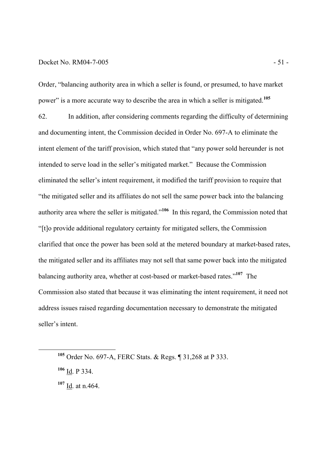### Docket No. RM04-7-005 - 51 -

Order, "balancing authority area in which a seller is found, or presumed, to have market power" is a more accurate way to describe the area in which a seller is mitigated.**<sup>105</sup>**

62. In addition, after considering comments regarding the difficulty of determining and documenting intent, the Commission decided in Order No. 697-A to eliminate the intent element of the tariff provision, which stated that "any power sold hereunder is not intended to serve load in the seller's mitigated market." Because the Commission eliminated the seller's intent requirement, it modified the tariff provision to require that "the mitigated seller and its affiliates do not sell the same power back into the balancing authority area where the seller is mitigated."**<sup>106</sup>** In this regard, the Commission noted that "[t]o provide additional regulatory certainty for mitigated sellers, the Commission clarified that once the power has been sold at the metered boundary at market-based rates, the mitigated seller and its affiliates may not sell that same power back into the mitigated balancing authority area, whether at cost-based or market-based rates."**<sup>107</sup>** The Commission also stated that because it was eliminating the intent requirement, it need not address issues raised regarding documentation necessary to demonstrate the mitigated seller's intent.

**<sup>105</sup>** Order No. 697-A, FERC Stats. & Regs. ¶ 31,268 at P 333.

**<sup>106</sup>** Id. P 334.

**<sup>107</sup>** Id. at n.464.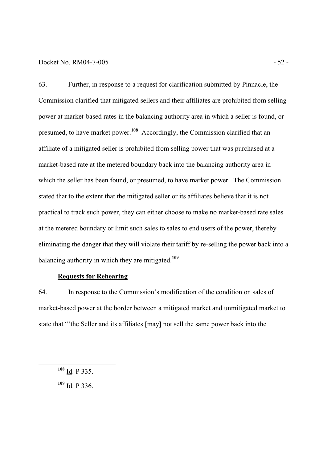## Docket No. RM04-7-005 - 52 -

63. Further, in response to a request for clarification submitted by Pinnacle, the Commission clarified that mitigated sellers and their affiliates are prohibited from selling power at market-based rates in the balancing authority area in which a seller is found, or presumed, to have market power.**<sup>108</sup>** Accordingly, the Commission clarified that an affiliate of a mitigated seller is prohibited from selling power that was purchased at a market-based rate at the metered boundary back into the balancing authority area in which the seller has been found, or presumed, to have market power. The Commission stated that to the extent that the mitigated seller or its affiliates believe that it is not practical to track such power, they can either choose to make no market-based rate sales at the metered boundary or limit such sales to sales to end users of the power, thereby eliminating the danger that they will violate their tariff by re-selling the power back into a balancing authority in which they are mitigated.**<sup>109</sup>**

# **Requests for Rehearing**

64. In response to the Commission's modification of the condition on sales of market-based power at the border between a mitigated market and unmitigated market to state that "'the Seller and its affiliates [may] not sell the same power back into the

**<sup>108</sup>** Id. P 335.

**<sup>109</sup>** Id. P 336.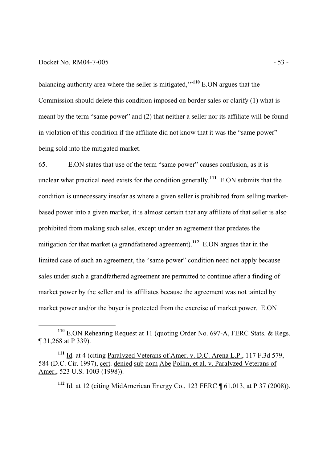## Docket No. RM04-7-005 - 53 -

-

balancing authority area where the seller is mitigated,'"**<sup>110</sup>** E.ON argues that the Commission should delete this condition imposed on border sales or clarify (1) what is meant by the term "same power" and (2) that neither a seller nor its affiliate will be found in violation of this condition if the affiliate did not know that it was the "same power" being sold into the mitigated market.

65. E.ON states that use of the term "same power" causes confusion, as it is unclear what practical need exists for the condition generally.**<sup>111</sup>** E.ON submits that the condition is unnecessary insofar as where a given seller is prohibited from selling marketbased power into a given market, it is almost certain that any affiliate of that seller is also prohibited from making such sales, except under an agreement that predates the mitigation for that market (a grandfathered agreement).**<sup>112</sup>** E.ON argues that in the limited case of such an agreement, the "same power" condition need not apply because sales under such a grandfathered agreement are permitted to continue after a finding of market power by the seller and its affiliates because the agreement was not tainted by market power and/or the buyer is protected from the exercise of market power. E.ON

**<sup>112</sup>** Id. at 12 (citing MidAmerican Energy Co., 123 FERC ¶ 61,013, at P 37 (2008)).

**<sup>110</sup>** E.ON Rehearing Request at 11 (quoting Order No. 697-A, FERC Stats. & Regs. ¶ 31,268 at P 339).

**<sup>111</sup>** Id. at 4 (citing Paralyzed Veterans of Amer. v. D.C. Arena L.P., 117 F.3d 579, 584 (D.C. Cir. 1997), cert. denied sub nom Abe Pollin, et al. v. Paralyzed Veterans of Amer., 523 U.S. 1003 (1998)).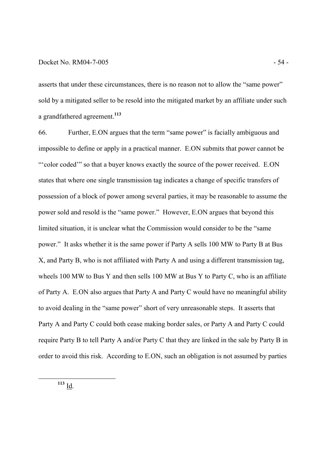## Docket No. RM04-7-005 - 54 -

asserts that under these circumstances, there is no reason not to allow the "same power" sold by a mitigated seller to be resold into the mitigated market by an affiliate under such a grandfathered agreement.**<sup>113</sup>**

66. Further, E.ON argues that the term "same power" is facially ambiguous and impossible to define or apply in a practical manner. E.ON submits that power cannot be "'color coded'" so that a buyer knows exactly the source of the power received. E.ON states that where one single transmission tag indicates a change of specific transfers of possession of a block of power among several parties, it may be reasonable to assume the power sold and resold is the "same power." However, E.ON argues that beyond this limited situation, it is unclear what the Commission would consider to be the "same power." It asks whether it is the same power if Party A sells 100 MW to Party B at Bus X, and Party B, who is not affiliated with Party A and using a different transmission tag, wheels 100 MW to Bus Y and then sells 100 MW at Bus Y to Party C, who is an affiliate of Party A. E.ON also argues that Party A and Party C would have no meaningful ability to avoid dealing in the "same power" short of very unreasonable steps. It asserts that Party A and Party C could both cease making border sales, or Party A and Party C could require Party B to tell Party A and/or Party C that they are linked in the sale by Party B in order to avoid this risk. According to E.ON, such an obligation is not assumed by parties

 $113 \underline{Id}$ .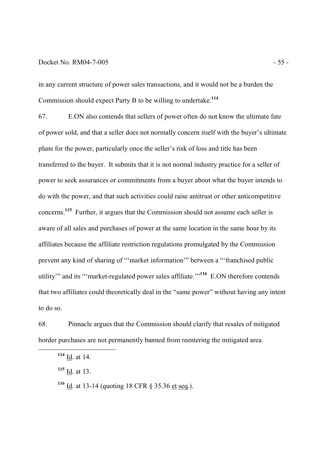## Docket No. RM04-7-005 - 55 -

in any current structure of power sales transactions, and it would not be a burden the Commission should expect Party B to be willing to undertake.**<sup>114</sup>**

67. E.ON also contends that sellers of power often do not know the ultimate fate of power sold, and that a seller does not normally concern itself with the buyer's ultimate plans for the power, particularly once the seller's risk of loss and title has been transferred to the buyer. It submits that it is not normal industry practice for a seller of power to seek assurances or commitments from a buyer about what the buyer intends to do with the power, and that such activities could raise antitrust or other anticompetitive concerns. **<sup>115</sup>** Further, it argues that the Commission should not assume each seller is aware of all sales and purchases of power at the same location in the same hour by its affiliates because the affiliate restriction regulations promulgated by the Commission prevent any kind of sharing of "'market information'" between a "'franchised public utility'" and its "'market-regulated power sales affiliate.'"**<sup>116</sup>** E.ON therefore contends that two affiliates could theoretically deal in the "same power" without having any intent to do so.

68. Pinnacle argues that the Commission should clarify that resales of mitigated border purchases are not permanently banned from reentering the mitigated area.

**<sup>114</sup>** Id. at 14.

**<sup>115</sup>** Id. at 13.

**<sup>116</sup>** Id. at 13-14 (quoting 18 CFR § 35.36 et seq.).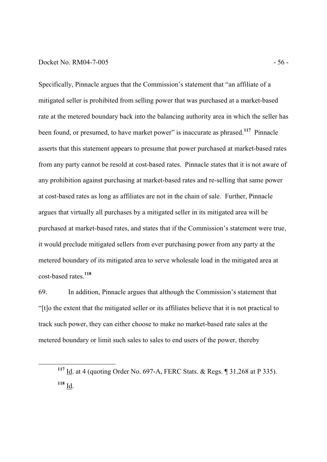## Docket No. RM04-7-005 - 56 -

-

Specifically, Pinnacle argues that the Commission's statement that "an affiliate of a mitigated seller is prohibited from selling power that was purchased at a market-based rate at the metered boundary back into the balancing authority area in which the seller has been found, or presumed, to have market power" is inaccurate as phrased.**<sup>117</sup>** Pinnacle asserts that this statement appears to presume that power purchased at market-based rates from any party cannot be resold at cost-based rates. Pinnacle states that it is not aware of any prohibition against purchasing at market-based rates and re-selling that same power at cost-based rates as long as affiliates are not in the chain of sale. Further, Pinnacle argues that virtually all purchases by a mitigated seller in its mitigated area will be purchased at market-based rates, and states that if the Commission's statement were true, it would preclude mitigated sellers from ever purchasing power from any party at the metered boundary of its mitigated area to serve wholesale load in the mitigated area at cost-based rates.**<sup>118</sup>**

69. In addition, Pinnacle argues that although the Commission's statement that "[t]o the extent that the mitigated seller or its affiliates believe that it is not practical to track such power, they can either choose to make no market-based rate sales at the metered boundary or limit such sales to sales to end users of the power, thereby

**<sup>117</sup>** Id. at 4 (quoting Order No. 697-A, FERC Stats. & Regs. ¶ 31,268 at P 335). **<sup>118</sup>** Id.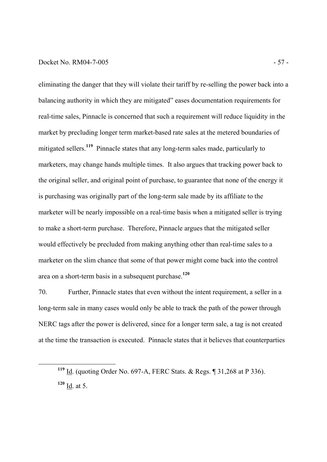## Docket No. RM04-7-005 - 57 -

-

eliminating the danger that they will violate their tariff by re-selling the power back into a balancing authority in which they are mitigated" eases documentation requirements for real-time sales, Pinnacle is concerned that such a requirement will reduce liquidity in the market by precluding longer term market-based rate sales at the metered boundaries of mitigated sellers.**<sup>119</sup>** Pinnacle states that any long-term sales made, particularly to marketers, may change hands multiple times. It also argues that tracking power back to the original seller, and original point of purchase, to guarantee that none of the energy it is purchasing was originally part of the long-term sale made by its affiliate to the marketer will be nearly impossible on a real-time basis when a mitigated seller is trying to make a short-term purchase. Therefore, Pinnacle argues that the mitigated seller would effectively be precluded from making anything other than real-time sales to a marketer on the slim chance that some of that power might come back into the control area on a short-term basis in a subsequent purchase. **120**

70. Further, Pinnacle states that even without the intent requirement, a seller in a long-term sale in many cases would only be able to track the path of the power through NERC tags after the power is delivered, since for a longer term sale, a tag is not created at the time the transaction is executed. Pinnacle states that it believes that counterparties

**<sup>119</sup>** Id. (quoting Order No. 697-A, FERC Stats. & Regs. ¶ 31,268 at P 336).  $120 \underline{Id}$ . at 5.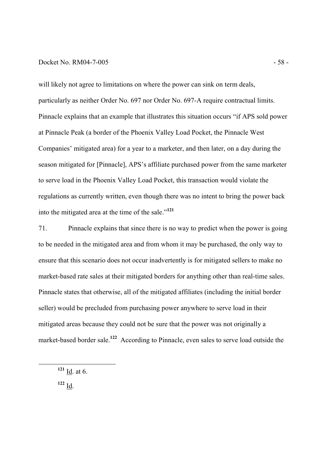## Docket No. RM04-7-005 - 58 -

will likely not agree to limitations on where the power can sink on term deals, particularly as neither Order No. 697 nor Order No. 697-A require contractual limits. Pinnacle explains that an example that illustrates this situation occurs "if APS sold power at Pinnacle Peak (a border of the Phoenix Valley Load Pocket, the Pinnacle West Companies' mitigated area) for a year to a marketer, and then later, on a day during the season mitigated for [Pinnacle], APS's affiliate purchased power from the same marketer to serve load in the Phoenix Valley Load Pocket, this transaction would violate the regulations as currently written, even though there was no intent to bring the power back into the mitigated area at the time of the sale."**<sup>121</sup>**

71. Pinnacle explains that since there is no way to predict when the power is going to be needed in the mitigated area and from whom it may be purchased, the only way to ensure that this scenario does not occur inadvertently is for mitigated sellers to make no market-based rate sales at their mitigated borders for anything other than real-time sales. Pinnacle states that otherwise, all of the mitigated affiliates (including the initial border seller) would be precluded from purchasing power anywhere to serve load in their mitigated areas because they could not be sure that the power was not originally a market-based border sale.<sup>122</sup> According to Pinnacle, even sales to serve load outside the

**<sup>121</sup>** Id. at 6.

**<sup>122</sup>** Id.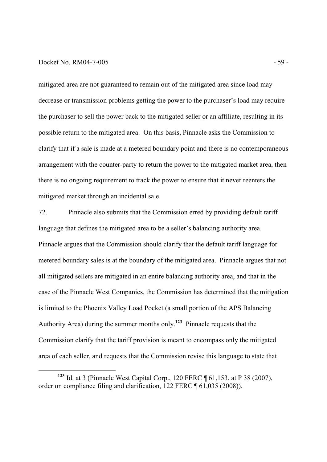## Docket No. RM04-7-005 - 59 -

-

mitigated area are not guaranteed to remain out of the mitigated area since load may decrease or transmission problems getting the power to the purchaser's load may require the purchaser to sell the power back to the mitigated seller or an affiliate, resulting in its possible return to the mitigated area. On this basis, Pinnacle asks the Commission to clarify that if a sale is made at a metered boundary point and there is no contemporaneous arrangement with the counter-party to return the power to the mitigated market area, then there is no ongoing requirement to track the power to ensure that it never reenters the mitigated market through an incidental sale.

72. Pinnacle also submits that the Commission erred by providing default tariff language that defines the mitigated area to be a seller's balancing authority area. Pinnacle argues that the Commission should clarify that the default tariff language for metered boundary sales is at the boundary of the mitigated area. Pinnacle argues that not all mitigated sellers are mitigated in an entire balancing authority area, and that in the case of the Pinnacle West Companies, the Commission has determined that the mitigation is limited to the Phoenix Valley Load Pocket (a small portion of the APS Balancing Authority Area) during the summer months only.**<sup>123</sup>** Pinnacle requests that the Commission clarify that the tariff provision is meant to encompass only the mitigated area of each seller, and requests that the Commission revise this language to state that

**<sup>123</sup>** Id. at 3 (Pinnacle West Capital Corp., 120 FERC ¶ 61,153, at P 38 (2007), order on compliance filing and clarification, 122 FERC ¶ 61,035 (2008)).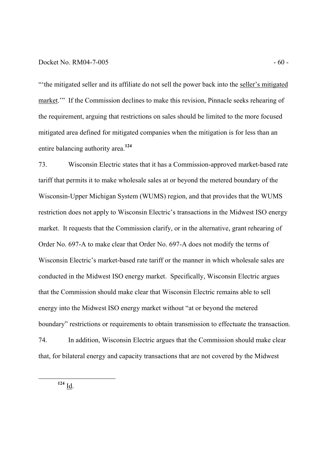## $Docket No. RM04-7-005$  - 60 -

"'the mitigated seller and its affiliate do not sell the power back into the seller's mitigated market.'" If the Commission declines to make this revision, Pinnacle seeks rehearing of the requirement, arguing that restrictions on sales should be limited to the more focused mitigated area defined for mitigated companies when the mitigation is for less than an entire balancing authority area.**<sup>124</sup>**

73. Wisconsin Electric states that it has a Commission-approved market-based rate tariff that permits it to make wholesale sales at or beyond the metered boundary of the Wisconsin-Upper Michigan System (WUMS) region, and that provides that the WUMS restriction does not apply to Wisconsin Electric's transactions in the Midwest ISO energy market. It requests that the Commission clarify, or in the alternative, grant rehearing of Order No. 697-A to make clear that Order No. 697-A does not modify the terms of Wisconsin Electric's market-based rate tariff or the manner in which wholesale sales are conducted in the Midwest ISO energy market. Specifically, Wisconsin Electric argues that the Commission should make clear that Wisconsin Electric remains able to sell energy into the Midwest ISO energy market without "at or beyond the metered boundary" restrictions or requirements to obtain transmission to effectuate the transaction. 74. In addition, Wisconsin Electric argues that the Commission should make clear that, for bilateral energy and capacity transactions that are not covered by the Midwest

 $124 \underline{Id}$ .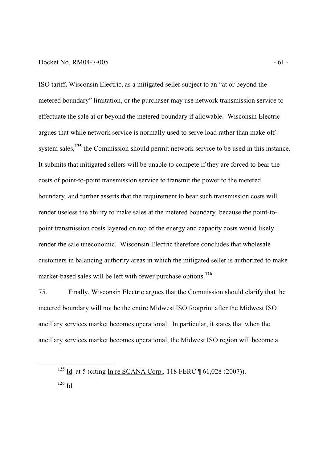## Docket No. RM04-7-005 - 61 -

ISO tariff, Wisconsin Electric, as a mitigated seller subject to an "at or beyond the metered boundary" limitation, or the purchaser may use network transmission service to effectuate the sale at or beyond the metered boundary if allowable. Wisconsin Electric argues that while network service is normally used to serve load rather than make offsystem sales,<sup>125</sup> the Commission should permit network service to be used in this instance. It submits that mitigated sellers will be unable to compete if they are forced to bear the costs of point-to-point transmission service to transmit the power to the metered boundary, and further asserts that the requirement to bear such transmission costs will render useless the ability to make sales at the metered boundary, because the point-topoint transmission costs layered on top of the energy and capacity costs would likely render the sale uneconomic. Wisconsin Electric therefore concludes that wholesale customers in balancing authority areas in which the mitigated seller is authorized to make market-based sales will be left with fewer purchase options.**<sup>126</sup>**

75. Finally, Wisconsin Electric argues that the Commission should clarify that the metered boundary will not be the entire Midwest ISO footprint after the Midwest ISO ancillary services market becomes operational. In particular, it states that when the ancillary services market becomes operational, the Midwest ISO region will become a

**<sup>125</sup>** Id. at 5 (citing In re SCANA Corp., 118 FERC ¶ 61,028 (2007)).

**<sup>126</sup>** Id.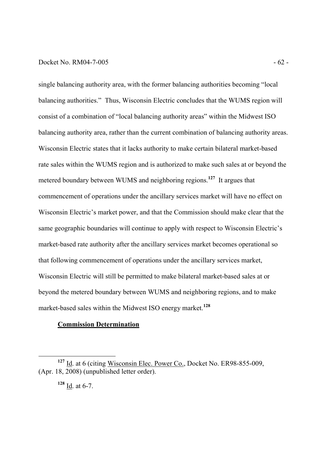## Docket No. RM04-7-005 - 62 -

single balancing authority area, with the former balancing authorities becoming "local balancing authorities." Thus, Wisconsin Electric concludes that the WUMS region will consist of a combination of "local balancing authority areas" within the Midwest ISO balancing authority area, rather than the current combination of balancing authority areas. Wisconsin Electric states that it lacks authority to make certain bilateral market-based rate sales within the WUMS region and is authorized to make such sales at or beyond the metered boundary between WUMS and neighboring regions.**<sup>127</sup>** It argues that commencement of operations under the ancillary services market will have no effect on Wisconsin Electric's market power, and that the Commission should make clear that the same geographic boundaries will continue to apply with respect to Wisconsin Electric's market-based rate authority after the ancillary services market becomes operational so that following commencement of operations under the ancillary services market, Wisconsin Electric will still be permitted to make bilateral market-based sales at or beyond the metered boundary between WUMS and neighboring regions, and to make market-based sales within the Midwest ISO energy market.**<sup>128</sup>**

# **Commission Determination**

<sup>&</sup>lt;sup>127</sup> Id. at 6 (citing Wisconsin Elec. Power Co., Docket No. ER98-855-009, (Apr. 18, 2008) (unpublished letter order).

 $128$  <u>Id</u>. at 6-7.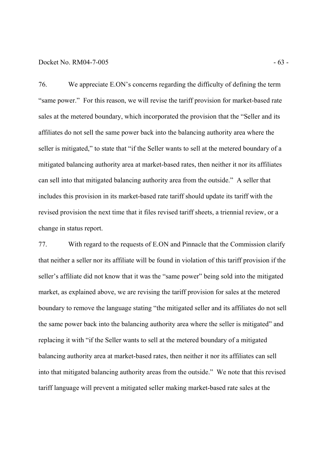### Docket No. RM04-7-005 - 63 -

76. We appreciate E.ON's concerns regarding the difficulty of defining the term "same power." For this reason, we will revise the tariff provision for market-based rate sales at the metered boundary, which incorporated the provision that the "Seller and its affiliates do not sell the same power back into the balancing authority area where the seller is mitigated," to state that "if the Seller wants to sell at the metered boundary of a mitigated balancing authority area at market-based rates, then neither it nor its affiliates can sell into that mitigated balancing authority area from the outside." A seller that includes this provision in its market-based rate tariff should update its tariff with the revised provision the next time that it files revised tariff sheets, a triennial review, or a change in status report.

77. With regard to the requests of E.ON and Pinnacle that the Commission clarify that neither a seller nor its affiliate will be found in violation of this tariff provision if the seller's affiliate did not know that it was the "same power" being sold into the mitigated market, as explained above, we are revising the tariff provision for sales at the metered boundary to remove the language stating "the mitigated seller and its affiliates do not sell the same power back into the balancing authority area where the seller is mitigated" and replacing it with "if the Seller wants to sell at the metered boundary of a mitigated balancing authority area at market-based rates, then neither it nor its affiliates can sell into that mitigated balancing authority areas from the outside." We note that this revised tariff language will prevent a mitigated seller making market-based rate sales at the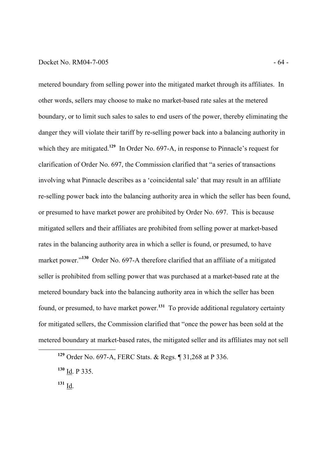## Docket No. RM04-7-005 - 64 -

metered boundary from selling power into the mitigated market through its affiliates. In other words, sellers may choose to make no market-based rate sales at the metered boundary, or to limit such sales to sales to end users of the power, thereby eliminating the danger they will violate their tariff by re-selling power back into a balancing authority in which they are mitigated.<sup>129</sup> In Order No. 697-A, in response to Pinnacle's request for clarification of Order No. 697, the Commission clarified that "a series of transactions involving what Pinnacle describes as a 'coincidental sale' that may result in an affiliate re-selling power back into the balancing authority area in which the seller has been found, or presumed to have market power are prohibited by Order No. 697. This is because mitigated sellers and their affiliates are prohibited from selling power at market-based rates in the balancing authority area in which a seller is found, or presumed, to have market power.<sup>"130</sup> Order No. 697-A therefore clarified that an affiliate of a mitigated seller is prohibited from selling power that was purchased at a market-based rate at the metered boundary back into the balancing authority area in which the seller has been found, or presumed, to have market power.**<sup>131</sup>** To provide additional regulatory certainty for mitigated sellers, the Commission clarified that "once the power has been sold at the metered boundary at market-based rates, the mitigated seller and its affiliates may not sell

**<sup>129</sup>** Order No. 697-A, FERC Stats. & Regs. ¶ 31,268 at P 336.

**<sup>130</sup>** Id. P 335.

 $131 \underline{Id}$ .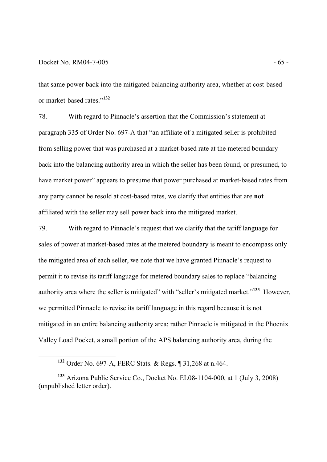-

that same power back into the mitigated balancing authority area, whether at cost-based or market-based rates."**<sup>132</sup>**

78. With regard to Pinnacle's assertion that the Commission's statement at paragraph 335 of Order No. 697-A that "an affiliate of a mitigated seller is prohibited from selling power that was purchased at a market-based rate at the metered boundary back into the balancing authority area in which the seller has been found, or presumed, to have market power" appears to presume that power purchased at market-based rates from any party cannot be resold at cost-based rates, we clarify that entities that are **not** affiliated with the seller may sell power back into the mitigated market.

79. With regard to Pinnacle's request that we clarify that the tariff language for sales of power at market-based rates at the metered boundary is meant to encompass only the mitigated area of each seller, we note that we have granted Pinnacle's request to permit it to revise its tariff language for metered boundary sales to replace "balancing authority area where the seller is mitigated" with "seller's mitigated market."**<sup>133</sup>** However, we permitted Pinnacle to revise its tariff language in this regard because it is not mitigated in an entire balancing authority area; rather Pinnacle is mitigated in the Phoenix Valley Load Pocket, a small portion of the APS balancing authority area, during the

**<sup>132</sup>** Order No. 697-A, FERC Stats. & Regs. ¶ 31,268 at n.464.

**<sup>133</sup>** Arizona Public Service Co., Docket No. EL08-1104-000, at 1 (July 3, 2008) (unpublished letter order).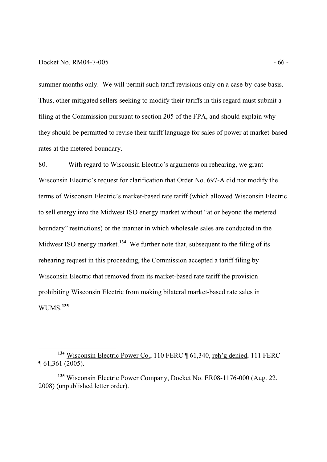## Docket No. RM04-7-005 - 66 -

-

summer months only. We will permit such tariff revisions only on a case-by-case basis. Thus, other mitigated sellers seeking to modify their tariffs in this regard must submit a filing at the Commission pursuant to section 205 of the FPA, and should explain why they should be permitted to revise their tariff language for sales of power at market-based rates at the metered boundary.

80. With regard to Wisconsin Electric's arguments on rehearing, we grant Wisconsin Electric's request for clarification that Order No. 697-A did not modify the terms of Wisconsin Electric's market-based rate tariff (which allowed Wisconsin Electric to sell energy into the Midwest ISO energy market without "at or beyond the metered boundary" restrictions) or the manner in which wholesale sales are conducted in the Midwest ISO energy market.<sup>134</sup> We further note that, subsequent to the filing of its rehearing request in this proceeding, the Commission accepted a tariff filing by Wisconsin Electric that removed from its market-based rate tariff the provision prohibiting Wisconsin Electric from making bilateral market-based rate sales in WUMS.**<sup>135</sup>**

<sup>&</sup>lt;sup>134</sup> Wisconsin Electric Power Co., 110 FERC ¶ 61,340, reh'g denied, 111 FERC ¶ 61,361 (2005).

**<sup>135</sup>** Wisconsin Electric Power Company, Docket No. ER08-1176-000 (Aug. 22, 2008) (unpublished letter order).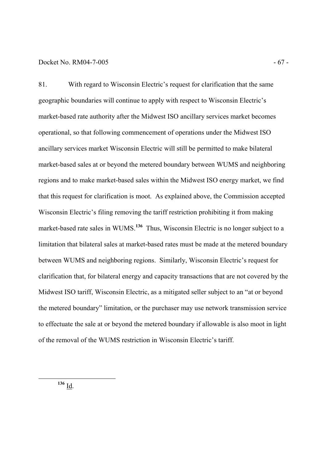## Docket No. RM04-7-005 - 67 -

81. With regard to Wisconsin Electric's request for clarification that the same geographic boundaries will continue to apply with respect to Wisconsin Electric's market-based rate authority after the Midwest ISO ancillary services market becomes operational, so that following commencement of operations under the Midwest ISO ancillary services market Wisconsin Electric will still be permitted to make bilateral market-based sales at or beyond the metered boundary between WUMS and neighboring regions and to make market-based sales within the Midwest ISO energy market, we find that this request for clarification is moot. As explained above, the Commission accepted Wisconsin Electric's filing removing the tariff restriction prohibiting it from making market-based rate sales in WUMS.<sup>136</sup> Thus, Wisconsin Electric is no longer subject to a limitation that bilateral sales at market-based rates must be made at the metered boundary between WUMS and neighboring regions. Similarly, Wisconsin Electric's request for clarification that, for bilateral energy and capacity transactions that are not covered by the Midwest ISO tariff, Wisconsin Electric, as a mitigated seller subject to an "at or beyond the metered boundary" limitation, or the purchaser may use network transmission service to effectuate the sale at or beyond the metered boundary if allowable is also moot in light of the removal of the WUMS restriction in Wisconsin Electric's tariff.

**<sup>136</sup>** Id.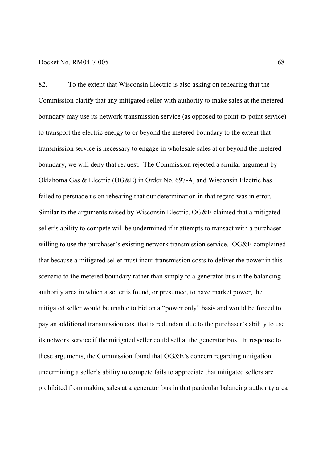### Docket No. RM04-7-005 - 68 -

82. To the extent that Wisconsin Electric is also asking on rehearing that the Commission clarify that any mitigated seller with authority to make sales at the metered boundary may use its network transmission service (as opposed to point-to-point service) to transport the electric energy to or beyond the metered boundary to the extent that transmission service is necessary to engage in wholesale sales at or beyond the metered boundary, we will deny that request. The Commission rejected a similar argument by Oklahoma Gas & Electric (OG&E) in Order No. 697-A, and Wisconsin Electric has failed to persuade us on rehearing that our determination in that regard was in error. Similar to the arguments raised by Wisconsin Electric, OG&E claimed that a mitigated seller's ability to compete will be undermined if it attempts to transact with a purchaser willing to use the purchaser's existing network transmission service. OG&E complained that because a mitigated seller must incur transmission costs to deliver the power in this scenario to the metered boundary rather than simply to a generator bus in the balancing authority area in which a seller is found, or presumed, to have market power, the mitigated seller would be unable to bid on a "power only" basis and would be forced to pay an additional transmission cost that is redundant due to the purchaser's ability to use its network service if the mitigated seller could sell at the generator bus. In response to these arguments, the Commission found that OG&E's concern regarding mitigation undermining a seller's ability to compete fails to appreciate that mitigated sellers are prohibited from making sales at a generator bus in that particular balancing authority area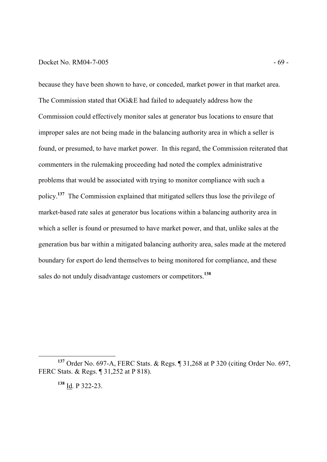## Docket No. RM04-7-005 - 69 -

because they have been shown to have, or conceded, market power in that market area. The Commission stated that OG&E had failed to adequately address how the Commission could effectively monitor sales at generator bus locations to ensure that improper sales are not being made in the balancing authority area in which a seller is found, or presumed, to have market power. In this regard, the Commission reiterated that commenters in the rulemaking proceeding had noted the complex administrative problems that would be associated with trying to monitor compliance with such a policy.**<sup>137</sup>** The Commission explained that mitigated sellers thus lose the privilege of market-based rate sales at generator bus locations within a balancing authority area in which a seller is found or presumed to have market power, and that, unlike sales at the generation bus bar within a mitigated balancing authority area, sales made at the metered boundary for export do lend themselves to being monitored for compliance, and these sales do not unduly disadvantage customers or competitors.**<sup>138</sup>**

**<sup>137</sup>** Order No. 697-A, FERC Stats. & Regs. ¶ 31,268 at P 320 (citing Order No. 697, FERC Stats. & Regs. ¶ 31,252 at P 818).

**<sup>138</sup>** Id. P 322-23.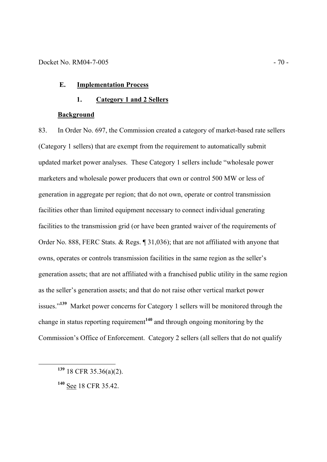# **E. Implementation Process**

# **1. Category 1 and 2 Sellers**

# **Background**

83. In Order No. 697, the Commission created a category of market-based rate sellers (Category 1 sellers) that are exempt from the requirement to automatically submit updated market power analyses. These Category 1 sellers include "wholesale power marketers and wholesale power producers that own or control 500 MW or less of generation in aggregate per region; that do not own, operate or control transmission facilities other than limited equipment necessary to connect individual generating facilities to the transmission grid (or have been granted waiver of the requirements of Order No. 888, FERC Stats. & Regs. ¶ 31,036); that are not affiliated with anyone that owns, operates or controls transmission facilities in the same region as the seller's generation assets; that are not affiliated with a franchised public utility in the same region as the seller's generation assets; and that do not raise other vertical market power issues."**<sup>139</sup>** Market power concerns for Category 1 sellers will be monitored through the change in status reporting requirement**<sup>140</sup>** and through ongoing monitoring by the Commission's Office of Enforcement. Category 2 sellers (all sellers that do not qualify

**<sup>139</sup>** 18 CFR 35.36(a)(2).

**<sup>140</sup>** See 18 CFR 35.42.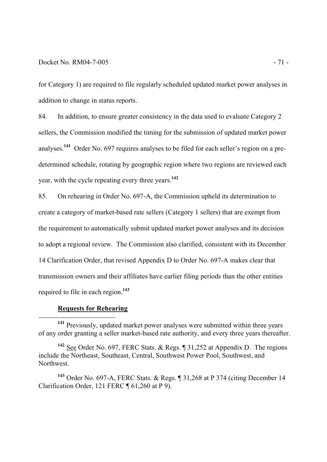for Category 1) are required to file regularly scheduled updated market power analyses in addition to change in status reports.

84. In addition, to ensure greater consistency in the data used to evaluate Category 2 sellers, the Commission modified the timing for the submission of updated market power analyses.**<sup>141</sup>** Order No. 697 requires analyses to be filed for each seller's region on a predetermined schedule, rotating by geographic region where two regions are reviewed each year, with the cycle repeating every three years.**<sup>142</sup>**

85. On rehearing in Order No. 697-A, the Commission upheld its determination to create a category of market-based rate sellers (Category 1 sellers) that are exempt from the requirement to automatically submit updated market power analyses and its decision to adopt a regional review. The Commission also clarified, consistent with its December 14 Clarification Order, that revised Appendix D to Order No. 697-A makes clear that transmission owners and their affiliates have earlier filing periods than the other entities required to file in each region.**<sup>143</sup>**

#### **Requests for Rehearing**

-

**<sup>141</sup>** Previously, updated market power analyses were submitted within three years of any order granting a seller market-based rate authority, and every three years thereafter.

**<sup>142</sup>** See Order No. 697, FERC Stats. & Regs. ¶ 31,252 at Appendix D. The regions include the Northeast, Southeast, Central, Southwest Power Pool, Southwest, and Northwest.

**<sup>143</sup>** Order No. 697-A, FERC Stats. & Regs. ¶ 31,268 at P 374 (citing December 14 Clarification Order, 121 FERC ¶ 61,260 at P 9).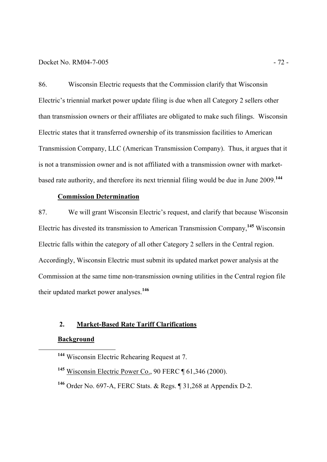### Docket No. RM04-7-005 - 72 -

86. Wisconsin Electric requests that the Commission clarify that Wisconsin Electric's triennial market power update filing is due when all Category 2 sellers other than transmission owners or their affiliates are obligated to make such filings. Wisconsin Electric states that it transferred ownership of its transmission facilities to American Transmission Company, LLC (American Transmission Company). Thus, it argues that it is not a transmission owner and is not affiliated with a transmission owner with marketbased rate authority, and therefore its next triennial filing would be due in June 2009.**<sup>144</sup>**

# **Commission Determination**

87. We will grant Wisconsin Electric's request, and clarify that because Wisconsin Electric has divested its transmission to American Transmission Company,**<sup>145</sup>** Wisconsin Electric falls within the category of all other Category 2 sellers in the Central region. Accordingly, Wisconsin Electric must submit its updated market power analysis at the Commission at the same time non-transmission owning utilities in the Central region file their updated market power analyses.**<sup>146</sup>**

# **2. Market-Based Rate Tariff Clarifications**

# **Background**

- **<sup>145</sup>** Wisconsin Electric Power Co., 90 FERC ¶ 61,346 (2000).
- **<sup>146</sup>** Order No. 697-A, FERC Stats. & Regs. ¶ 31,268 at Appendix D-2.

**<sup>144</sup>** Wisconsin Electric Rehearing Request at 7.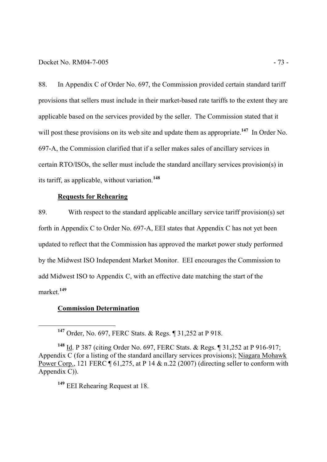88. In Appendix C of Order No. 697, the Commission provided certain standard tariff provisions that sellers must include in their market-based rate tariffs to the extent they are applicable based on the services provided by the seller. The Commission stated that it will post these provisions on its web site and update them as appropriate.<sup>147</sup> In Order No. 697-A, the Commission clarified that if a seller makes sales of ancillary services in certain RTO/ISOs, the seller must include the standard ancillary services provision(s) in its tariff, as applicable, without variation.**<sup>148</sup>**

# **Requests for Rehearing**

89. With respect to the standard applicable ancillary service tariff provision(s) set forth in Appendix C to Order No. 697-A, EEI states that Appendix C has not yet been updated to reflect that the Commission has approved the market power study performed by the Midwest ISO Independent Market Monitor. EEI encourages the Commission to add Midwest ISO to Appendix C, with an effective date matching the start of the market.**<sup>149</sup>**

#### **Commission Determination**

**<sup>147</sup>** Order, No. 697, FERC Stats. & Regs. ¶ 31,252 at P 918.

**<sup>148</sup>** Id. P 387 (citing Order No. 697, FERC Stats. & Regs. ¶ 31,252 at P 916-917; Appendix C (for a listing of the standard ancillary services provisions); Niagara Mohawk Power Corp., 121 FERC  $\P$  61,275, at P 14 & n.22 (2007) (directing seller to conform with Appendix C)).

**<sup>149</sup>** EEI Rehearing Request at 18.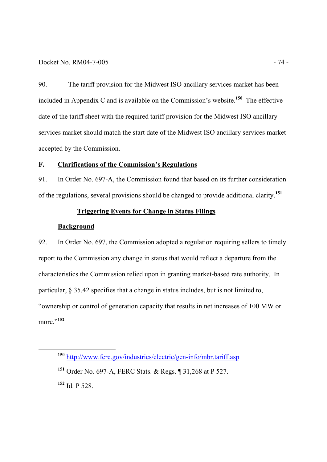## Docket No. RM04-7-005 - 74 -

90. The tariff provision for the Midwest ISO ancillary services market has been included in Appendix C and is available on the Commission's website.**<sup>150</sup>** The effective date of the tariff sheet with the required tariff provision for the Midwest ISO ancillary services market should match the start date of the Midwest ISO ancillary services market accepted by the Commission.

# **F. Clarifications of the Commission's Regulations**

91. In Order No. 697-A, the Commission found that based on its further consideration of the regulations, several provisions should be changed to provide additional clarity.**<sup>151</sup>**

# **Triggering Events for Change in Status Filings**

# **Background**

92. In Order No. 697, the Commission adopted a regulation requiring sellers to timely report to the Commission any change in status that would reflect a departure from the characteristics the Commission relied upon in granting market-based rate authority. In particular, § 35.42 specifies that a change in status includes, but is not limited to, "ownership or control of generation capacity that results in net increases of 100 MW or more."**<sup>152</sup>** 

**<sup>150</sup>** http://www.ferc.gov/industries/electric/gen-info/mbr.tariff.asp

**<sup>151</sup>** Order No. 697-A, FERC Stats. & Regs. ¶ 31,268 at P 527.

**<sup>152</sup>** Id. P 528.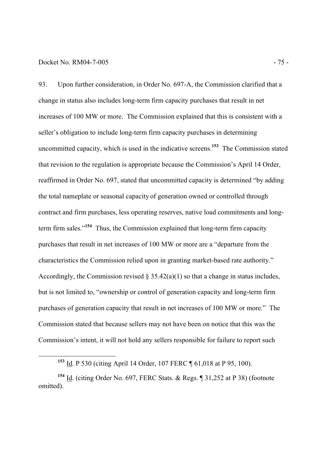#### Docket No. RM04-7-005 - 75 -

-

93. Upon further consideration, in Order No. 697-A, the Commission clarified that a change in status also includes long-term firm capacity purchases that result in net increases of 100 MW or more. The Commission explained that this is consistent with a seller's obligation to include long-term firm capacity purchases in determining uncommitted capacity, which is used in the indicative screens. **<sup>153</sup>** The Commission stated that revision to the regulation is appropriate because the Commission's April 14 Order, reaffirmed in Order No. 697, stated that uncommitted capacity is determined "by adding the total nameplate or seasonal capacity of generation owned or controlled through contract and firm purchases, less operating reserves, native load commitments and longterm firm sales."**<sup>154</sup>** Thus, the Commission explained that long-term firm capacity purchases that result in net increases of 100 MW or more are a "departure from the characteristics the Commission relied upon in granting market-based rate authority." Accordingly, the Commission revised  $\S 35.42(a)(1)$  so that a change in status includes, but is not limited to, "ownership or control of generation capacity and long-term firm purchases of generation capacity that result in net increases of 100 MW or more." The Commission stated that because sellers may not have been on notice that this was the Commission's intent, it will not hold any sellers responsible for failure to report such

**<sup>153</sup>** Id. P 530 (citing April 14 Order, 107 FERC ¶ 61,018 at P 95, 100).

**<sup>154</sup>** Id. (citing Order No. 697, FERC Stats. & Regs. ¶ 31,252 at P 38) (footnote omitted).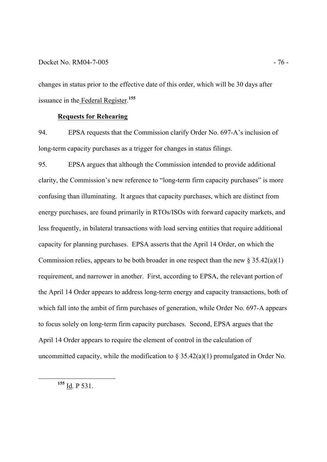### Docket No. RM04-7-005 - 76 -

changes in status prior to the effective date of this order, which will be 30 days after issuance in the Federal Register. **155**

#### **Requests for Rehearing**

94. EPSA requests that the Commission clarify Order No. 697-A's inclusion of long-term capacity purchases as a trigger for changes in status filings.

95. EPSA argues that although the Commission intended to provide additional clarity, the Commission's new reference to "long-term firm capacity purchases" is more confusing than illuminating. It argues that capacity purchases, which are distinct from energy purchases, are found primarily in RTOs/ISOs with forward capacity markets, and less frequently, in bilateral transactions with load serving entities that require additional capacity for planning purchases. EPSA asserts that the April 14 Order, on which the Commission relies, appears to be both broader in one respect than the new  $\S 35.42(a)(1)$ requirement, and narrower in another. First, according to EPSA, the relevant portion of the April 14 Order appears to address long-term energy and capacity transactions, both of which fall into the ambit of firm purchases of generation, while Order No. 697-A appears to focus solely on long-term firm capacity purchases. Second, EPSA argues that the April 14 Order appears to require the element of control in the calculation of uncommitted capacity, while the modification to  $\S 35.42(a)(1)$  promulgated in Order No.

**<sup>155</sup>** Id. P 531.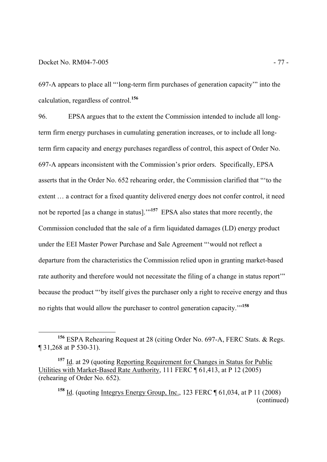-

697-A appears to place all "'long-term firm purchases of generation capacity'" into the calculation, regardless of control.**<sup>156</sup>**

96. EPSA argues that to the extent the Commission intended to include all longterm firm energy purchases in cumulating generation increases, or to include all longterm firm capacity and energy purchases regardless of control, this aspect of Order No. 697-A appears inconsistent with the Commission's prior orders. Specifically, EPSA asserts that in the Order No. 652 rehearing order, the Commission clarified that "'to the extent … a contract for a fixed quantity delivered energy does not confer control, it need not be reported [as a change in status].'"**<sup>157</sup>** EPSA also states that more recently, the Commission concluded that the sale of a firm liquidated damages (LD) energy product under the EEI Master Power Purchase and Sale Agreement "'would not reflect a departure from the characteristics the Commission relied upon in granting market-based rate authority and therefore would not necessitate the filing of a change in status report'" because the product "'by itself gives the purchaser only a right to receive energy and thus no rights that would allow the purchaser to control generation capacity.'"**<sup>158</sup>**

**<sup>156</sup>** ESPA Rehearing Request at 28 (citing Order No. 697-A, FERC Stats. & Regs. ¶ 31,268 at P 530-31).

**<sup>157</sup>** Id. at 29 (quoting Reporting Requirement for Changes in Status for Public Utilities with Market-Based Rate Authority, 111 FERC ¶ 61,413, at P 12 (2005) (rehearing of Order No. 652).

**<sup>158</sup>** Id. (quoting Integrys Energy Group, Inc., 123 FERC ¶ 61,034, at P 11 (2008) (continued)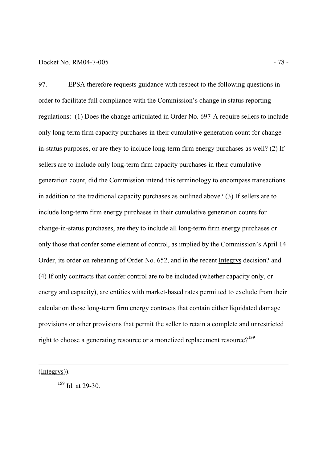#### Docket No. RM04-7-005 - 78 -

97. EPSA therefore requests guidance with respect to the following questions in order to facilitate full compliance with the Commission's change in status reporting regulations: (1) Does the change articulated in Order No. 697-A require sellers to include only long-term firm capacity purchases in their cumulative generation count for changein-status purposes, or are they to include long-term firm energy purchases as well? (2) If sellers are to include only long-term firm capacity purchases in their cumulative generation count, did the Commission intend this terminology to encompass transactions in addition to the traditional capacity purchases as outlined above? (3) If sellers are to include long-term firm energy purchases in their cumulative generation counts for change-in-status purchases, are they to include all long-term firm energy purchases or only those that confer some element of control, as implied by the Commission's April 14 Order, its order on rehearing of Order No. 652, and in the recent Integrys decision? and (4) If only contracts that confer control are to be included (whether capacity only, or energy and capacity), are entities with market-based rates permitted to exclude from their calculation those long-term firm energy contracts that contain either liquidated damage provisions or other provisions that permit the seller to retain a complete and unrestricted right to choose a generating resource or a monetized replacement resource?**<sup>159</sup>**

(Integrys)).

-

**<sup>159</sup>** Id. at 29-30.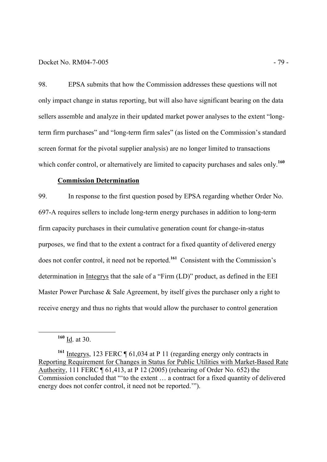#### Docket No. RM04-7-005 - 79 -

98. EPSA submits that how the Commission addresses these questions will not only impact change in status reporting, but will also have significant bearing on the data sellers assemble and analyze in their updated market power analyses to the extent "longterm firm purchases" and "long-term firm sales" (as listed on the Commission's standard screen format for the pivotal supplier analysis) are no longer limited to transactions which confer control, or alternatively are limited to capacity purchases and sales only.<sup>160</sup>

# **Commission Determination**

99. In response to the first question posed by EPSA regarding whether Order No. 697-A requires sellers to include long-term energy purchases in addition to long-term firm capacity purchases in their cumulative generation count for change-in-status purposes, we find that to the extent a contract for a fixed quantity of delivered energy does not confer control, it need not be reported.**<sup>161</sup>** Consistent with the Commission's determination in Integrys that the sale of a "Firm (LD)" product, as defined in the EEI Master Power Purchase & Sale Agreement, by itself gives the purchaser only a right to receive energy and thus no rights that would allow the purchaser to control generation

**<sup>160</sup>** Id. at 30.

**<sup>161</sup>** Integrys, 123 FERC ¶ 61,034 at P 11 (regarding energy only contracts in Reporting Requirement for Changes in Status for Public Utilities with Market-Based Rate Authority, 111 FERC ¶ 61,413, at P 12 (2005) (rehearing of Order No. 652) the Commission concluded that "'to the extent … a contract for a fixed quantity of delivered energy does not confer control, it need not be reported.'").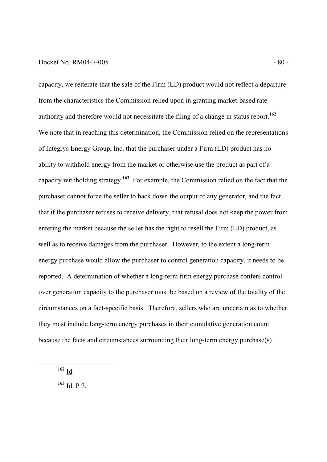## Docket No. RM04-7-005 - 80 -

capacity, we reiterate that the sale of the Firm (LD) product would not reflect a departure from the characteristics the Commission relied upon in granting market-based rate authority and therefore would not necessitate the filing of a change in status report.**<sup>162</sup>** We note that in reaching this determination, the Commission relied on the representations of Integrys Energy Group, Inc. that the purchaser under a Firm (LD) product has no ability to withhold energy from the market or otherwise use the product as part of a capacity withholding strategy.**<sup>163</sup>** For example, the Commission relied on the fact that the purchaser cannot force the seller to back down the output of any generator, and the fact that if the purchaser refuses to receive delivery, that refusal does not keep the power from entering the market because the seller has the right to resell the Firm (LD) product, as well as to receive damages from the purchaser. However, to the extent a long-term energy purchase would allow the purchaser to control generation capacity, it needs to be reported. A determination of whether a long-term firm energy purchase confers control over generation capacity to the purchaser must be based on a review of the totality of the circumstances on a fact-specific basis. Therefore, sellers who are uncertain as to whether they must include long-term energy purchases in their cumulative generation count because the facts and circumstances surrounding their long-term energy purchase(s)

**<sup>162</sup>** Id.

-

**<sup>163</sup>** Id. P 7.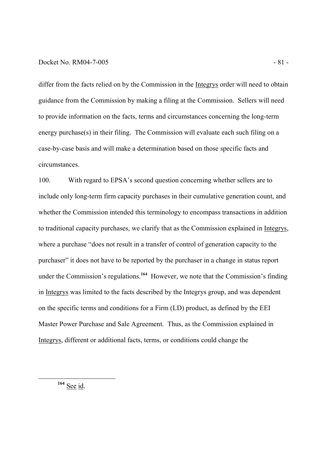# Docket No. RM04-7-005 - 81 -

differ from the facts relied on by the Commission in the Integrys order will need to obtain guidance from the Commission by making a filing at the Commission. Sellers will need to provide information on the facts, terms and circumstances concerning the long-term energy purchase(s) in their filing. The Commission will evaluate each such filing on a case-by-case basis and will make a determination based on those specific facts and circumstances.

100. With regard to EPSA's second question concerning whether sellers are to include only long-term firm capacity purchases in their cumulative generation count, and whether the Commission intended this terminology to encompass transactions in addition to traditional capacity purchases, we clarify that as the Commission explained in Integrys, where a purchase "does not result in a transfer of control of generation capacity to the purchaser" it does not have to be reported by the purchaser in a change in status report under the Commission's regulations.**<sup>164</sup>** However, we note that the Commission's finding in Integrys was limited to the facts described by the Integrys group, and was dependent on the specific terms and conditions for a Firm (LD) product, as defined by the EEI Master Power Purchase and Sale Agreement. Thus, as the Commission explained in Integrys, different or additional facts, terms, or conditions could change the

**<sup>164</sup>** See id.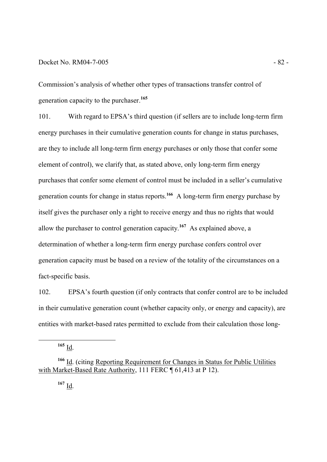## Docket No. RM04-7-005 - 82 -

Commission's analysis of whether other types of transactions transfer control of generation capacity to the purchaser.**<sup>165</sup>**

101. With regard to EPSA's third question (if sellers are to include long-term firm energy purchases in their cumulative generation counts for change in status purchases, are they to include all long-term firm energy purchases or only those that confer some element of control), we clarify that, as stated above, only long-term firm energy purchases that confer some element of control must be included in a seller's cumulative generation counts for change in status reports.**<sup>166</sup>** A long-term firm energy purchase by itself gives the purchaser only a right to receive energy and thus no rights that would allow the purchaser to control generation capacity.**<sup>167</sup>** As explained above, a determination of whether a long-term firm energy purchase confers control over generation capacity must be based on a review of the totality of the circumstances on a fact-specific basis.

102. EPSA's fourth question (if only contracts that confer control are to be included in their cumulative generation count (whether capacity only, or energy and capacity), are entities with market-based rates permitted to exclude from their calculation those long-

**<sup>165</sup>** Id.

**<sup>166</sup>** Id. (citing Reporting Requirement for Changes in Status for Public Utilities with Market-Based Rate Authority, 111 FERC ¶ 61,413 at P 12).

 $167 \underline{Id}$ .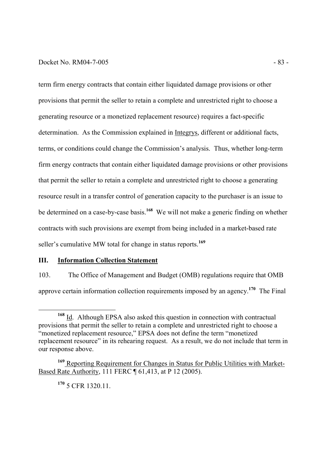# Docket No. RM04-7-005 - 83 -

term firm energy contracts that contain either liquidated damage provisions or other provisions that permit the seller to retain a complete and unrestricted right to choose a generating resource or a monetized replacement resource) requires a fact-specific determination. As the Commission explained in Integrys, different or additional facts, terms, or conditions could change the Commission's analysis. Thus, whether long-term firm energy contracts that contain either liquidated damage provisions or other provisions that permit the seller to retain a complete and unrestricted right to choose a generating resource result in a transfer control of generation capacity to the purchaser is an issue to be determined on a case-by-case basis.**<sup>168</sup>** We will not make a generic finding on whether contracts with such provisions are exempt from being included in a market-based rate seller's cumulative MW total for change in status reports.**<sup>169</sup>**

# **III. Information Collection Statement**

103. The Office of Management and Budget (OMB) regulations require that OMB approve certain information collection requirements imposed by an agency.**<sup>170</sup>** The Final

**<sup>170</sup>** 5 CFR 1320.11.

<sup>-</sup>**<sup>168</sup>** Id. Although EPSA also asked this question in connection with contractual provisions that permit the seller to retain a complete and unrestricted right to choose a "monetized replacement resource," EPSA does not define the term "monetized" replacement resource" in its rehearing request. As a result, we do not include that term in our response above.

**<sup>169</sup>** Reporting Requirement for Changes in Status for Public Utilities with Market-Based Rate Authority, 111 FERC ¶ 61,413, at P 12 (2005).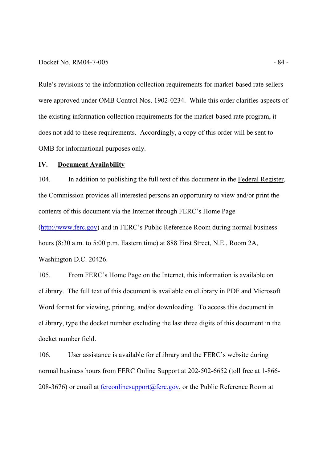#### Docket No. RM04-7-005 - 84 -

Rule's revisions to the information collection requirements for market-based rate sellers were approved under OMB Control Nos. 1902-0234. While this order clarifies aspects of the existing information collection requirements for the market-based rate program, it does not add to these requirements. Accordingly, a copy of this order will be sent to OMB for informational purposes only.

# **IV. Document Availability**

104. In addition to publishing the full text of this document in the Federal Register, the Commission provides all interested persons an opportunity to view and/or print the contents of this document via the Internet through FERC's Home Page (http://www.ferc.gov) and in FERC's Public Reference Room during normal business hours (8:30 a.m. to 5:00 p.m. Eastern time) at 888 First Street, N.E., Room 2A, Washington D.C. 20426.

105. From FERC's Home Page on the Internet, this information is available on eLibrary. The full text of this document is available on eLibrary in PDF and Microsoft Word format for viewing, printing, and/or downloading. To access this document in eLibrary, type the docket number excluding the last three digits of this document in the docket number field.

106. User assistance is available for eLibrary and the FERC's website during normal business hours from FERC Online Support at 202-502-6652 (toll free at 1-866- 208-3676) or email at ferconlinesupport@ferc.gov, or the Public Reference Room at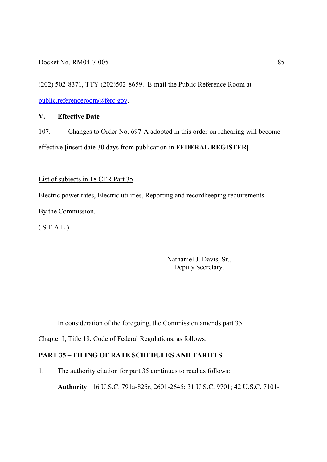(202) 502-8371, TTY (202)502-8659. E-mail the Public Reference Room at public.referenceroom@ferc.gov.

# **V. Effective Date**

107. Changes to Order No. 697-A adopted in this order on rehearing will become effective **[**insert date 30 days from publication in **FEDERAL REGISTER]**.

# List of subjects in 18 CFR Part 35

Electric power rates, Electric utilities, Reporting and recordkeeping requirements. By the Commission.

 $(S E A L)$ 

Nathaniel J. Davis, Sr., Deputy Secretary.

In consideration of the foregoing, the Commission amends part 35

Chapter I, Title 18, Code of Federal Regulations, as follows:

# **PART 35 – FILING OF RATE SCHEDULES AND TARIFFS**

1. The authority citation for part 35 continues to read as follows:

**Authority**: 16 U.S.C. 791a-825r, 2601-2645; 31 U.S.C. 9701; 42 U.S.C. 7101-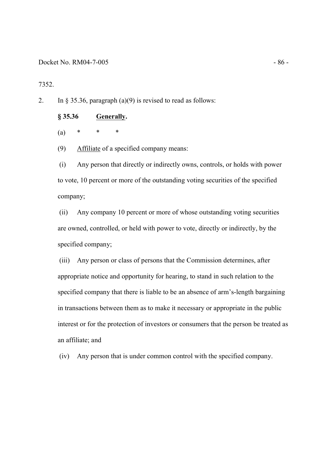#### Docket No. RM04-7-005 - 86 -

7352.

2. In § 35.36, paragraph (a)(9) is revised to read as follows:

## **§ 35.36 Generally.**

(a) \* \* \*

(9) Affiliate of a specified company means:

(i) Any person that directly or indirectly owns, controls, or holds with power to vote, 10 percent or more of the outstanding voting securities of the specified company;

(ii) Any company 10 percent or more of whose outstanding voting securities are owned, controlled, or held with power to vote, directly or indirectly, by the specified company;

 (iii) Any person or class of persons that the Commission determines, after appropriate notice and opportunity for hearing, to stand in such relation to the specified company that there is liable to be an absence of arm's-length bargaining in transactions between them as to make it necessary or appropriate in the public interest or for the protection of investors or consumers that the person be treated as an affiliate; and

(iv) Any person that is under common control with the specified company.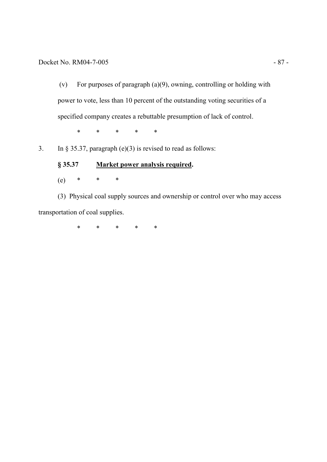(v) For purposes of paragraph (a)(9), owning, controlling or holding with power to vote, less than 10 percent of the outstanding voting securities of a specified company creates a rebuttable presumption of lack of control.

\* \* \* \* \*

3. In § 35.37, paragraph  $(e)(3)$  is revised to read as follows:

 **§ 35.37 Market power analysis required.**  (e) \* \* \*

(3) Physical coal supply sources and ownership or control over who may access transportation of coal supplies.

\* \* \* \* \*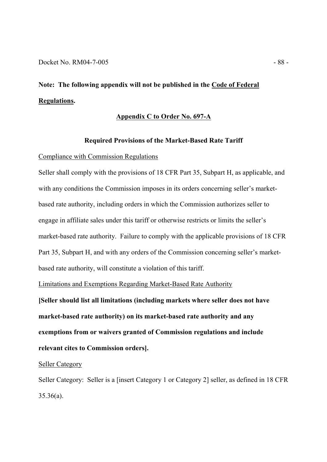# **Note: The following appendix will not be published in the Code of Federal Regulations.**

## **Appendix C to Order No. 697-A**

#### **Required Provisions of the Market-Based Rate Tariff**

#### Compliance with Commission Regulations

Seller shall comply with the provisions of 18 CFR Part 35, Subpart H, as applicable, and with any conditions the Commission imposes in its orders concerning seller's marketbased rate authority, including orders in which the Commission authorizes seller to engage in affiliate sales under this tariff or otherwise restricts or limits the seller's market-based rate authority. Failure to comply with the applicable provisions of 18 CFR Part 35, Subpart H, and with any orders of the Commission concerning seller's marketbased rate authority, will constitute a violation of this tariff.

Limitations and Exemptions Regarding Market-Based Rate Authority

**[Seller should list all limitations (including markets where seller does not have market-based rate authority) on its market-based rate authority and any exemptions from or waivers granted of Commission regulations and include relevant cites to Commission orders].** 

# Seller Category

Seller Category: Seller is a [insert Category 1 or Category 2] seller, as defined in 18 CFR 35.36(a).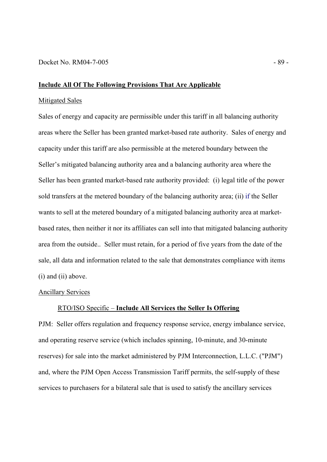## **Include All Of The Following Provisions That Are Applicable**

# Mitigated Sales

Sales of energy and capacity are permissible under this tariff in all balancing authority areas where the Seller has been granted market-based rate authority. Sales of energy and capacity under this tariff are also permissible at the metered boundary between the Seller's mitigated balancing authority area and a balancing authority area where the Seller has been granted market-based rate authority provided: (i) legal title of the power sold transfers at the metered boundary of the balancing authority area; (ii) if the Seller wants to sell at the metered boundary of a mitigated balancing authority area at marketbased rates, then neither it nor its affiliates can sell into that mitigated balancing authority area from the outside.. Seller must retain, for a period of five years from the date of the sale, all data and information related to the sale that demonstrates compliance with items (i) and (ii) above.

### Ancillary Services

#### RTO/ISO Specific – **Include All Services the Seller Is Offering**

PJM: Seller offers regulation and frequency response service, energy imbalance service, and operating reserve service (which includes spinning, 10-minute, and 30-minute reserves) for sale into the market administered by PJM Interconnection, L.L.C. ("PJM") and, where the PJM Open Access Transmission Tariff permits, the self-supply of these services to purchasers for a bilateral sale that is used to satisfy the ancillary services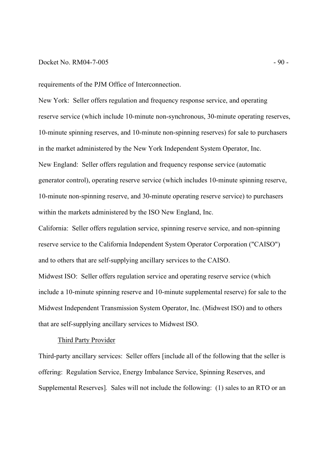## Docket No. RM04-7-005 - 90 -

requirements of the PJM Office of Interconnection.

New York: Seller offers regulation and frequency response service, and operating reserve service (which include 10-minute non-synchronous, 30-minute operating reserves, 10-minute spinning reserves, and 10-minute non-spinning reserves) for sale to purchasers in the market administered by the New York Independent System Operator, Inc. New England: Seller offers regulation and frequency response service (automatic generator control), operating reserve service (which includes 10-minute spinning reserve, 10-minute non-spinning reserve, and 30-minute operating reserve service) to purchasers within the markets administered by the ISO New England, Inc.

California: Seller offers regulation service, spinning reserve service, and non-spinning reserve service to the California Independent System Operator Corporation ("CAISO") and to others that are self-supplying ancillary services to the CAISO.

Midwest ISO: Seller offers regulation service and operating reserve service (which include a 10-minute spinning reserve and 10-minute supplemental reserve) for sale to the Midwest Independent Transmission System Operator, Inc. (Midwest ISO) and to others that are self-supplying ancillary services to Midwest ISO.

# Third Party Provider

Third-party ancillary services: Seller offers [include all of the following that the seller is offering: Regulation Service, Energy Imbalance Service, Spinning Reserves, and Supplemental Reserves]*.* Sales will not include the following: (1) sales to an RTO or an